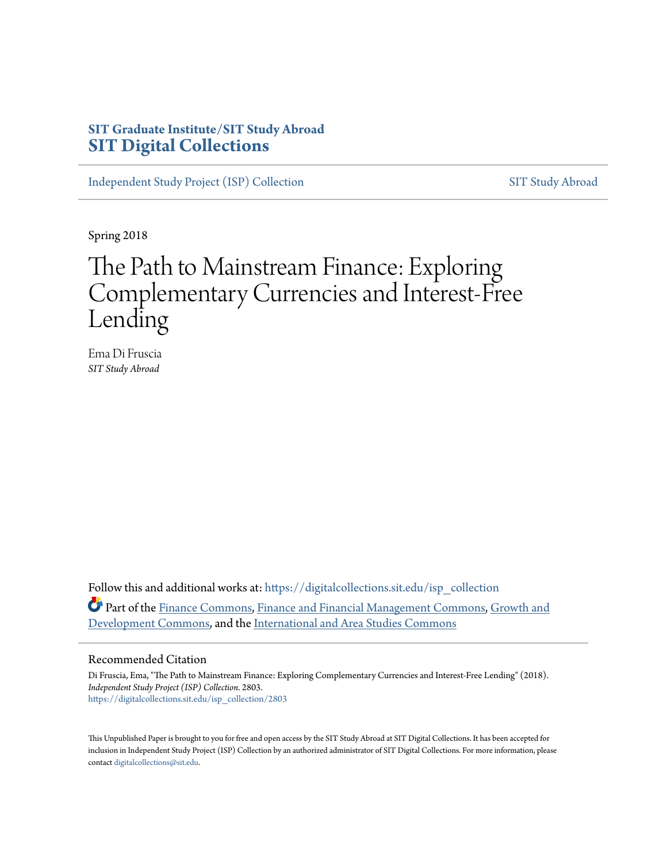# **SIT Graduate Institute/SIT Study Abroad [SIT Digital Collections](https://digitalcollections.sit.edu?utm_source=digitalcollections.sit.edu%2Fisp_collection%2F2803&utm_medium=PDF&utm_campaign=PDFCoverPages)**

[Independent Study Project \(ISP\) Collection](https://digitalcollections.sit.edu/isp_collection?utm_source=digitalcollections.sit.edu%2Fisp_collection%2F2803&utm_medium=PDF&utm_campaign=PDFCoverPages) [SIT Study Abroad](https://digitalcollections.sit.edu/study_abroad?utm_source=digitalcollections.sit.edu%2Fisp_collection%2F2803&utm_medium=PDF&utm_campaign=PDFCoverPages)

Spring 2018

# The Path to Mainstream Finance: Exploring Complementary Currencies and Interest-Free Lending

Ema Di Fruscia *SIT Study Abroad*

Follow this and additional works at: [https://digitalcollections.sit.edu/isp\\_collection](https://digitalcollections.sit.edu/isp_collection?utm_source=digitalcollections.sit.edu%2Fisp_collection%2F2803&utm_medium=PDF&utm_campaign=PDFCoverPages) Part of the [Finance Commons](http://network.bepress.com/hgg/discipline/345?utm_source=digitalcollections.sit.edu%2Fisp_collection%2F2803&utm_medium=PDF&utm_campaign=PDFCoverPages), [Finance and Financial Management Commons,](http://network.bepress.com/hgg/discipline/631?utm_source=digitalcollections.sit.edu%2Fisp_collection%2F2803&utm_medium=PDF&utm_campaign=PDFCoverPages) [Growth and](http://network.bepress.com/hgg/discipline/346?utm_source=digitalcollections.sit.edu%2Fisp_collection%2F2803&utm_medium=PDF&utm_campaign=PDFCoverPages) [Development Commons,](http://network.bepress.com/hgg/discipline/346?utm_source=digitalcollections.sit.edu%2Fisp_collection%2F2803&utm_medium=PDF&utm_campaign=PDFCoverPages) and the [International and Area Studies Commons](http://network.bepress.com/hgg/discipline/360?utm_source=digitalcollections.sit.edu%2Fisp_collection%2F2803&utm_medium=PDF&utm_campaign=PDFCoverPages)

#### Recommended Citation

Di Fruscia, Ema, "The Path to Mainstream Finance: Exploring Complementary Currencies and Interest-Free Lending" (2018). *Independent Study Project (ISP) Collection*. 2803. [https://digitalcollections.sit.edu/isp\\_collection/2803](https://digitalcollections.sit.edu/isp_collection/2803?utm_source=digitalcollections.sit.edu%2Fisp_collection%2F2803&utm_medium=PDF&utm_campaign=PDFCoverPages)

This Unpublished Paper is brought to you for free and open access by the SIT Study Abroad at SIT Digital Collections. It has been accepted for inclusion in Independent Study Project (ISP) Collection by an authorized administrator of SIT Digital Collections. For more information, please contact [digitalcollections@sit.edu](mailto:digitalcollections@sit.edu).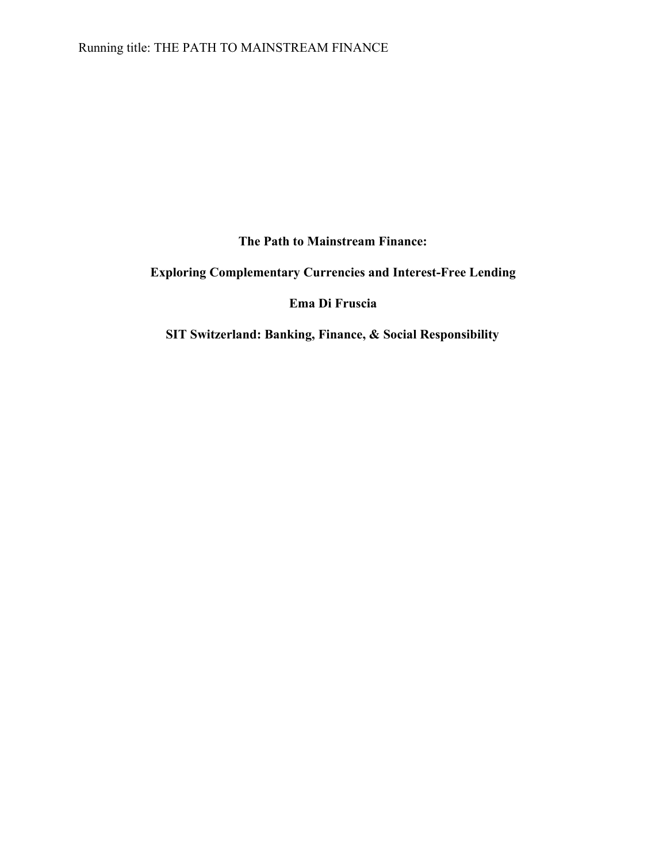**The Path to Mainstream Finance:**

**Exploring Complementary Currencies and Interest-Free Lending**

**Ema Di Fruscia**

**SIT Switzerland: Banking, Finance, & Social Responsibility**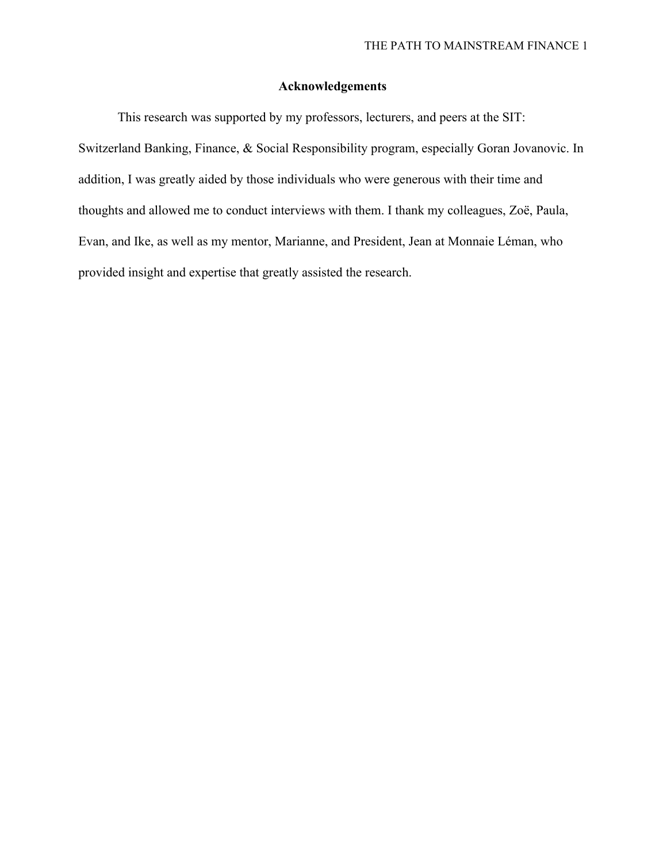# **Acknowledgements**

This research was supported by my professors, lecturers, and peers at the SIT: Switzerland Banking, Finance, & Social Responsibility program, especially Goran Jovanovic. In addition, I was greatly aided by those individuals who were generous with their time and thoughts and allowed me to conduct interviews with them. I thank my colleagues, Zoë, Paula, Evan, and Ike, as well as my mentor, Marianne, and President, Jean at Monnaie Léman, who provided insight and expertise that greatly assisted the research.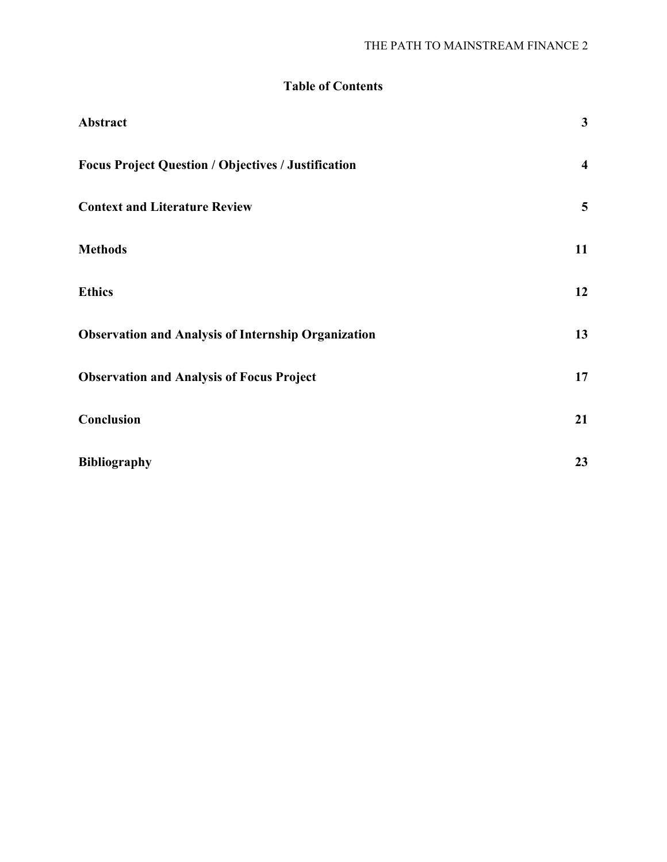# **Table of Contents**

| Abstract                                                   | $\mathbf{3}$            |
|------------------------------------------------------------|-------------------------|
| <b>Focus Project Question / Objectives / Justification</b> | $\overline{\mathbf{4}}$ |
| <b>Context and Literature Review</b>                       | 5                       |
| <b>Methods</b>                                             | 11                      |
| <b>Ethics</b>                                              | 12                      |
| <b>Observation and Analysis of Internship Organization</b> | 13                      |
| <b>Observation and Analysis of Focus Project</b>           | 17                      |
| Conclusion                                                 | 21                      |
| <b>Bibliography</b>                                        | 23                      |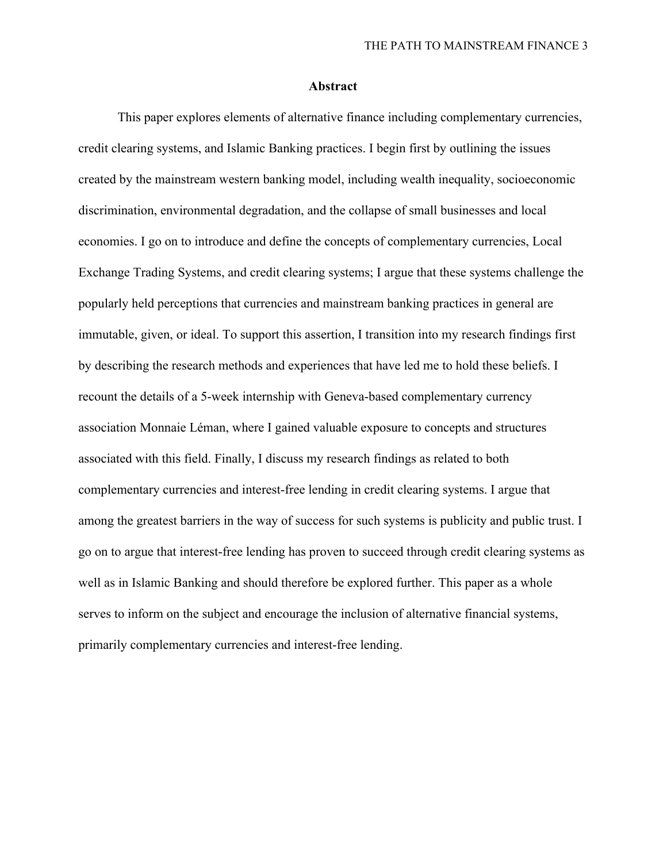#### **Abstract**

<span id="page-4-0"></span>This paper explores elements of alternative finance including complementary currencies, credit clearing systems, and Islamic Banking practices. I begin first by outlining the issues created by the mainstream western banking model, including wealth inequality, socioeconomic discrimination, environmental degradation, and the collapse of small businesses and local economies. I go on to introduce and define the concepts of complementary currencies, Local Exchange Trading Systems, and credit clearing systems; I argue that these systems challenge the popularly held perceptions that currencies and mainstream banking practices in general are immutable, given, or ideal. To support this assertion, I transition into my research findings first by describing the research methods and experiences that have led me to hold these beliefs. I recount the details of a 5-week internship with Geneva-based complementary currency association Monnaie Léman, where I gained valuable exposure to concepts and structures associated with this field. Finally, I discuss my research findings as related to both complementary currencies and interest-free lending in credit clearing systems. I argue that among the greatest barriers in the way of success for such systems is publicity and public trust. I go on to argue that interest-free lending has proven to succeed through credit clearing systems as well as in Islamic Banking and should therefore be explored further. This paper as a whole serves to inform on the subject and encourage the inclusion of alternative financial systems, primarily complementary currencies and interest-free lending.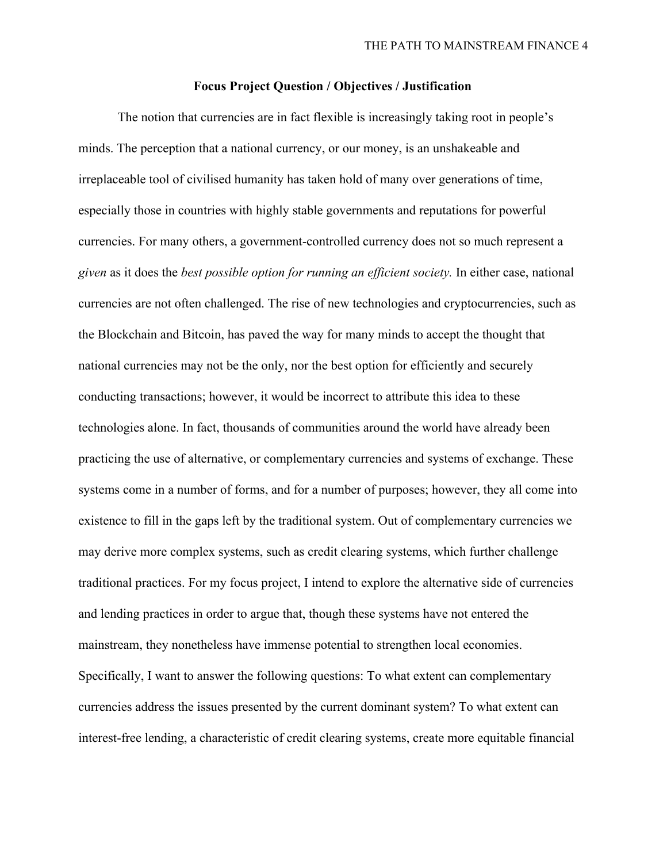#### **Focus Project Question / Objectives / Justification**

<span id="page-5-0"></span>The notion that currencies are in fact flexible is increasingly taking root in people's minds. The perception that a national currency, or our money, is an unshakeable and irreplaceable tool of civilised humanity has taken hold of many over generations of time, especially those in countries with highly stable governments and reputations for powerful currencies. For many others, a government-controlled currency does not so much represent a *given* as it does the *best possible option for running an efficient society.* In either case, national currencies are not often challenged. The rise of new technologies and cryptocurrencies, such as the Blockchain and Bitcoin, has paved the way for many minds to accept the thought that national currencies may not be the only, nor the best option for efficiently and securely conducting transactions; however, it would be incorrect to attribute this idea to these technologies alone. In fact, thousands of communities around the world have already been practicing the use of alternative, or complementary currencies and systems of exchange. These systems come in a number of forms, and for a number of purposes; however, they all come into existence to fill in the gaps left by the traditional system. Out of complementary currencies we may derive more complex systems, such as credit clearing systems, which further challenge traditional practices. For my focus project, I intend to explore the alternative side of currencies and lending practices in order to argue that, though these systems have not entered the mainstream, they nonetheless have immense potential to strengthen local economies. Specifically, I want to answer the following questions: To what extent can complementary currencies address the issues presented by the current dominant system? To what extent can interest-free lending, a characteristic of credit clearing systems, create more equitable financial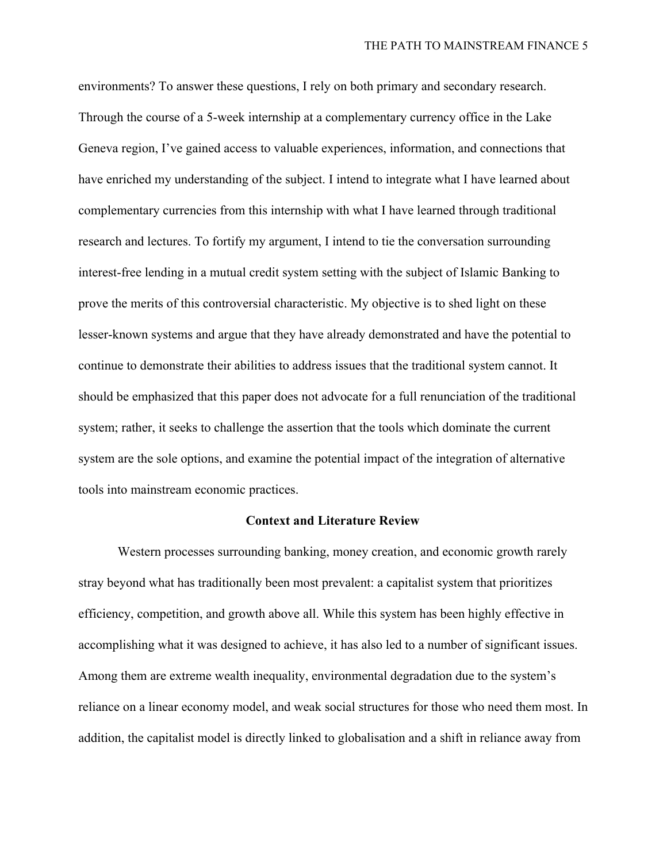environments? To answer these questions, I rely on both primary and secondary research. Through the course of a 5-week internship at a complementary currency office in the Lake Geneva region, I've gained access to valuable experiences, information, and connections that have enriched my understanding of the subject. I intend to integrate what I have learned about complementary currencies from this internship with what I have learned through traditional research and lectures. To fortify my argument, I intend to tie the conversation surrounding interest-free lending in a mutual credit system setting with the subject of Islamic Banking to prove the merits of this controversial characteristic. My objective is to shed light on these lesser-known systems and argue that they have already demonstrated and have the potential to continue to demonstrate their abilities to address issues that the traditional system cannot. It should be emphasized that this paper does not advocate for a full renunciation of the traditional system; rather, it seeks to challenge the assertion that the tools which dominate the current system are the sole options, and examine the potential impact of the integration of alternative tools into mainstream economic practices.

#### **Context and Literature Review**

<span id="page-6-0"></span>Western processes surrounding banking, money creation, and economic growth rarely stray beyond what has traditionally been most prevalent: a capitalist system that prioritizes efficiency, competition, and growth above all. While this system has been highly effective in accomplishing what it was designed to achieve, it has also led to a number of significant issues. Among them are extreme wealth inequality, environmental degradation due to the system's reliance on a linear economy model, and weak social structures for those who need them most. In addition, the capitalist model is directly linked to globalisation and a shift in reliance away from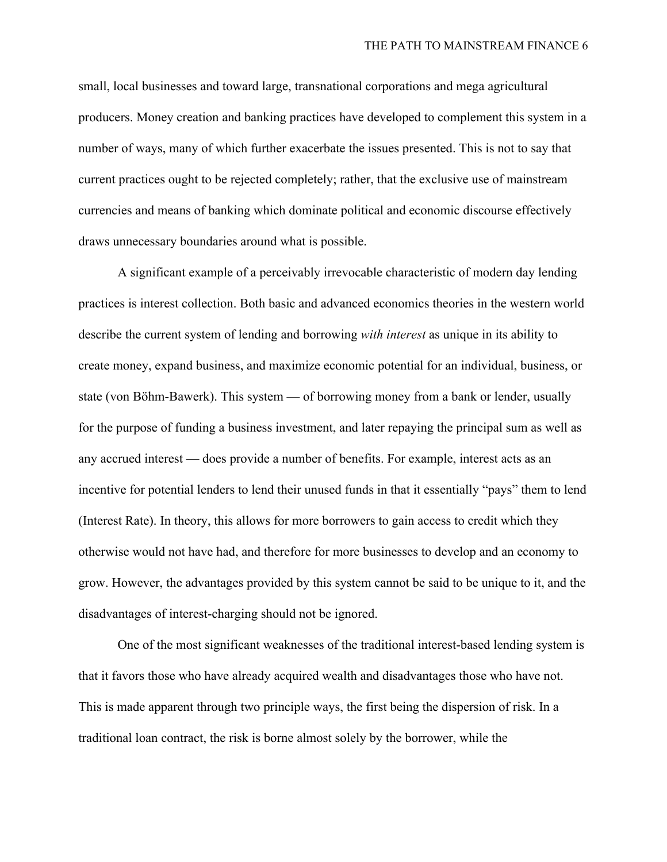small, local businesses and toward large, transnational corporations and mega agricultural producers. Money creation and banking practices have developed to complement this system in a number of ways, many of which further exacerbate the issues presented. This is not to say that current practices ought to be rejected completely; rather, that the exclusive use of mainstream currencies and means of banking which dominate political and economic discourse effectively draws unnecessary boundaries around what is possible.

A significant example of a perceivably irrevocable characteristic of modern day lending practices is interest collection. Both basic and advanced economics theories in the western world describe the current system of lending and borrowing *with interest* as unique in its ability to create money, expand business, and maximize economic potential for an individual, business, or state (von Böhm-Bawerk). This system — of borrowing money from a bank or lender, usually for the purpose of funding a business investment, and later repaying the principal sum as well as any accrued interest — does provide a number of benefits. For example, interest acts as an incentive for potential lenders to lend their unused funds in that it essentially "pays" them to lend (Interest Rate). In theory, this allows for more borrowers to gain access to credit which they otherwise would not have had, and therefore for more businesses to develop and an economy to grow. However, the advantages provided by this system cannot be said to be unique to it, and the disadvantages of interest-charging should not be ignored.

One of the most significant weaknesses of the traditional interest-based lending system is that it favors those who have already acquired wealth and disadvantages those who have not. This is made apparent through two principle ways, the first being the dispersion of risk. In a traditional loan contract, the risk is borne almost solely by the borrower, while the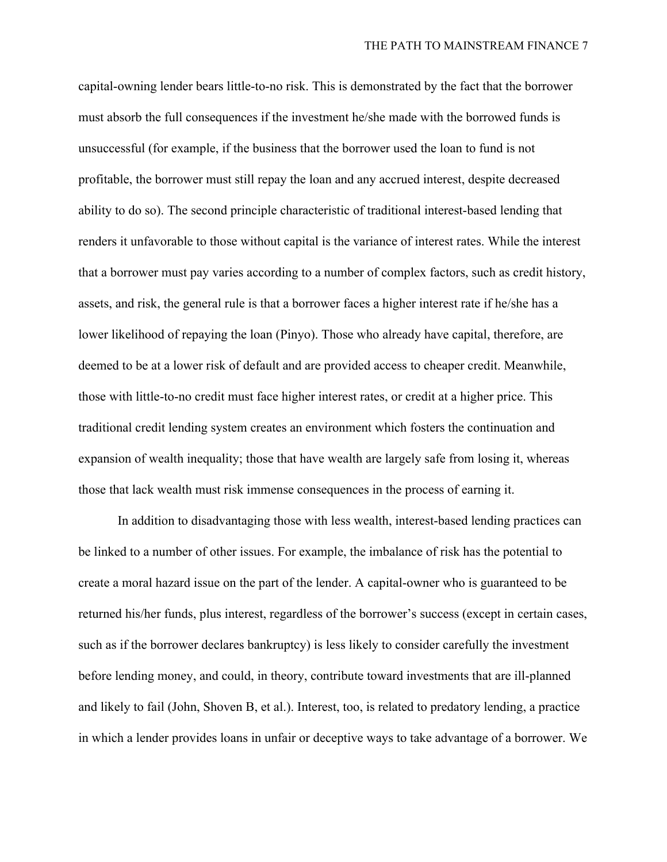capital-owning lender bears little-to-no risk. This is demonstrated by the fact that the borrower must absorb the full consequences if the investment he/she made with the borrowed funds is unsuccessful (for example, if the business that the borrower used the loan to fund is not profitable, the borrower must still repay the loan and any accrued interest, despite decreased ability to do so). The second principle characteristic of traditional interest-based lending that renders it unfavorable to those without capital is the variance of interest rates. While the interest that a borrower must pay varies according to a number of complex factors, such as credit history, assets, and risk, the general rule is that a borrower faces a higher interest rate if he/she has a lower likelihood of repaying the loan (Pinyo). Those who already have capital, therefore, are deemed to be at a lower risk of default and are provided access to cheaper credit. Meanwhile, those with little-to-no credit must face higher interest rates, or credit at a higher price. This traditional credit lending system creates an environment which fosters the continuation and expansion of wealth inequality; those that have wealth are largely safe from losing it, whereas those that lack wealth must risk immense consequences in the process of earning it.

In addition to disadvantaging those with less wealth, interest-based lending practices can be linked to a number of other issues. For example, the imbalance of risk has the potential to create a moral hazard issue on the part of the lender. A capital-owner who is guaranteed to be returned his/her funds, plus interest, regardless of the borrower's success (except in certain cases, such as if the borrower declares bankruptcy) is less likely to consider carefully the investment before lending money, and could, in theory, contribute toward investments that are ill-planned and likely to fail (John, Shoven B, et al.). Interest, too, is related to predatory lending, a practice in which a lender provides loans in unfair or deceptive ways to take advantage of a borrower. We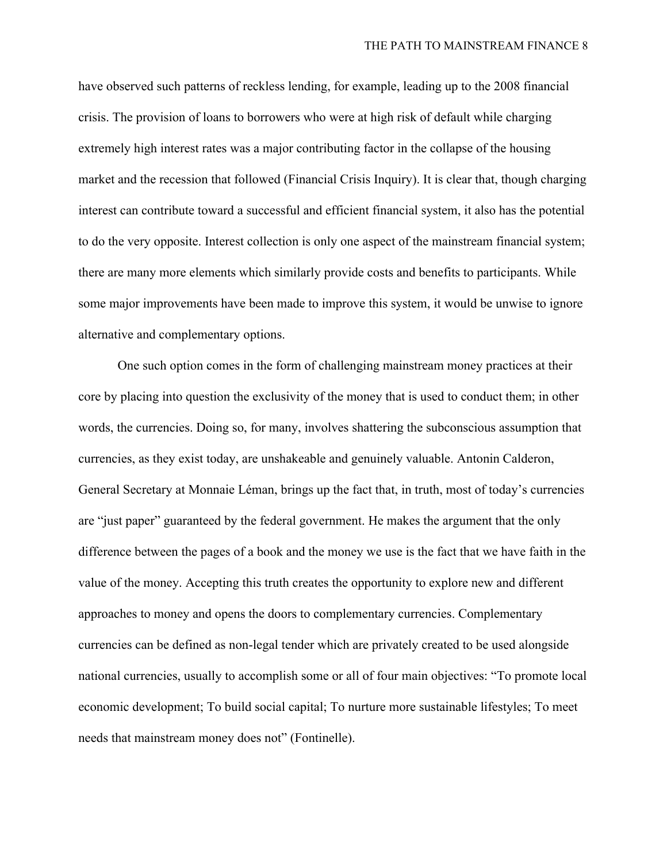have observed such patterns of reckless lending, for example, leading up to the 2008 financial crisis. The provision of loans to borrowers who were at high risk of default while charging extremely high interest rates was a major contributing factor in the collapse of the housing market and the recession that followed (Financial Crisis Inquiry). It is clear that, though charging interest can contribute toward a successful and efficient financial system, it also has the potential to do the very opposite. Interest collection is only one aspect of the mainstream financial system; there are many more elements which similarly provide costs and benefits to participants. While some major improvements have been made to improve this system, it would be unwise to ignore alternative and complementary options.

One such option comes in the form of challenging mainstream money practices at their core by placing into question the exclusivity of the money that is used to conduct them; in other words, the currencies. Doing so, for many, involves shattering the subconscious assumption that currencies, as they exist today, are unshakeable and genuinely valuable. Antonin Calderon, General Secretary at Monnaie Léman, brings up the fact that, in truth, most of today's currencies are "just paper" guaranteed by the federal government. He makes the argument that the only difference between the pages of a book and the money we use is the fact that we have faith in the value of the money. Accepting this truth creates the opportunity to explore new and different approaches to money and opens the doors to complementary currencies. Complementary currencies can be defined as non-legal tender which are privately created to be used alongside national currencies, usually to accomplish some or all of four main objectives: "To promote local economic development; To build social capital; To nurture more sustainable lifestyles; To meet needs that mainstream money does not" (Fontinelle).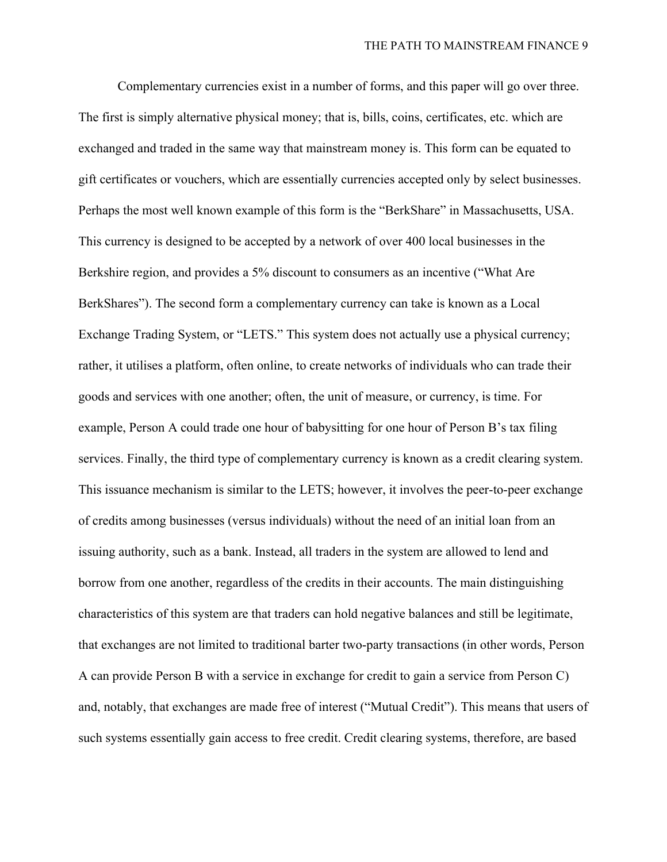Complementary currencies exist in a number of forms, and this paper will go over three. The first is simply alternative physical money; that is, bills, coins, certificates, etc. which are exchanged and traded in the same way that mainstream money is. This form can be equated to gift certificates or vouchers, which are essentially currencies accepted only by select businesses. Perhaps the most well known example of this form is the "BerkShare" in Massachusetts, USA. This currency is designed to be accepted by a network of over 400 local businesses in the Berkshire region, and provides a 5% discount to consumers as an incentive ("What Are BerkShares"). The second form a complementary currency can take is known as a Local Exchange Trading System, or "LETS." This system does not actually use a physical currency; rather, it utilises a platform, often online, to create networks of individuals who can trade their goods and services with one another; often, the unit of measure, or currency, is time. For example, Person A could trade one hour of babysitting for one hour of Person B's tax filing services. Finally, the third type of complementary currency is known as a credit clearing system. This issuance mechanism is similar to the LETS; however, it involves the peer-to-peer exchange of credits among businesses (versus individuals) without the need of an initial loan from an issuing authority, such as a bank. Instead, all traders in the system are allowed to lend and borrow from one another, regardless of the credits in their accounts. The main distinguishing characteristics of this system are that traders can hold negative balances and still be legitimate, that exchanges are not limited to traditional barter two-party transactions (in other words, Person A can provide Person B with a service in exchange for credit to gain a service from Person C) and, notably, that exchanges are made free of interest ("Mutual Credit"). This means that users of such systems essentially gain access to free credit. Credit clearing systems, therefore, are based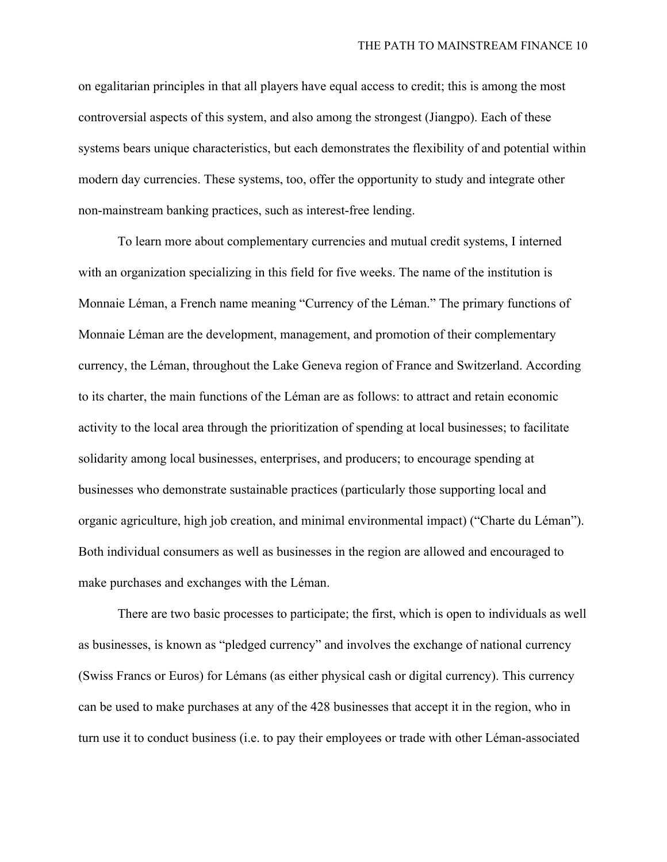on egalitarian principles in that all players have equal access to credit; this is among the most controversial aspects of this system, and also among the strongest (Jiangpo). Each of these systems bears unique characteristics, but each demonstrates the flexibility of and potential within modern day currencies. These systems, too, offer the opportunity to study and integrate other non-mainstream banking practices, such as interest-free lending.

To learn more about complementary currencies and mutual credit systems, I interned with an organization specializing in this field for five weeks. The name of the institution is Monnaie Léman, a French name meaning "Currency of the Léman." The primary functions of Monnaie Léman are the development, management, and promotion of their complementary currency, the Léman, throughout the Lake Geneva region of France and Switzerland. According to its charter, the main functions of the Léman are as follows: to attract and retain economic activity to the local area through the prioritization of spending at local businesses; to facilitate solidarity among local businesses, enterprises, and producers; to encourage spending at businesses who demonstrate sustainable practices (particularly those supporting local and organic agriculture, high job creation, and minimal environmental impact) ("Charte du Léman"). Both individual consumers as well as businesses in the region are allowed and encouraged to make purchases and exchanges with the Léman.

There are two basic processes to participate; the first, which is open to individuals as well as businesses, is known as "pledged currency" and involves the exchange of national currency (Swiss Francs or Euros) for Lémans (as either physical cash or digital currency). This currency can be used to make purchases at any of the 428 businesses that accept it in the region, who in turn use it to conduct business (i.e. to pay their employees or trade with other Léman-associated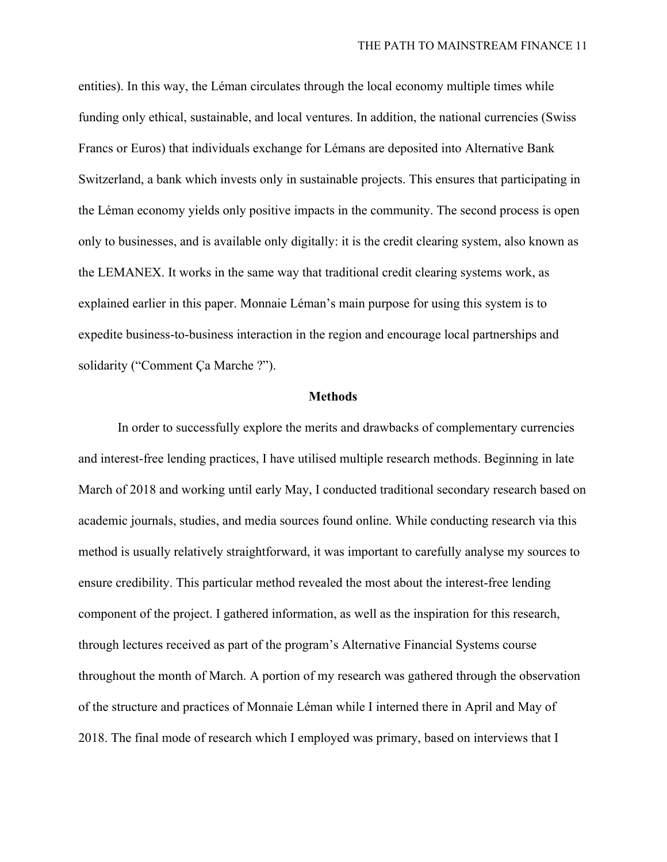entities). In this way, the Léman circulates through the local economy multiple times while funding only ethical, sustainable, and local ventures. In addition, the national currencies (Swiss Francs or Euros) that individuals exchange for Lémans are deposited into Alternative Bank Switzerland, a bank which invests only in sustainable projects. This ensures that participating in the Léman economy yields only positive impacts in the community. The second process is open only to businesses, and is available only digitally: it is the credit clearing system, also known as the LEMANEX. It works in the same way that traditional credit clearing systems work, as explained earlier in this paper. Monnaie Léman's main purpose for using this system is to expedite business-to-business interaction in the region and encourage local partnerships and solidarity ("Comment Ça Marche ?").

#### **Methods**

<span id="page-12-0"></span>In order to successfully explore the merits and drawbacks of complementary currencies and interest-free lending practices, I have utilised multiple research methods. Beginning in late March of 2018 and working until early May, I conducted traditional secondary research based on academic journals, studies, and media sources found online. While conducting research via this method is usually relatively straightforward, it was important to carefully analyse my sources to ensure credibility. This particular method revealed the most about the interest-free lending component of the project. I gathered information, as well as the inspiration for this research, through lectures received as part of the program's Alternative Financial Systems course throughout the month of March. A portion of my research was gathered through the observation of the structure and practices of Monnaie Léman while I interned there in April and May of 2018. The final mode of research which I employed was primary, based on interviews that I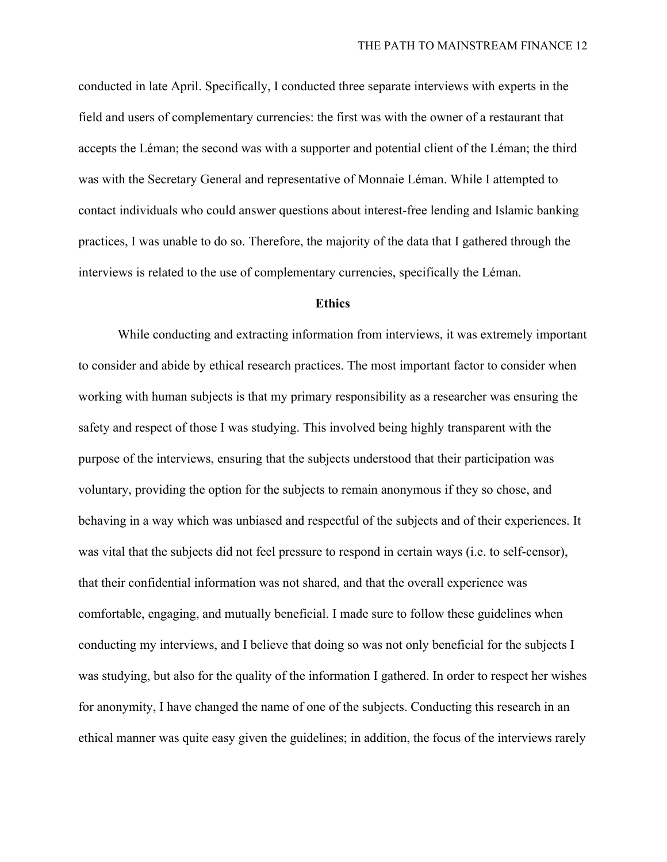conducted in late April. Specifically, I conducted three separate interviews with experts in the field and users of complementary currencies: the first was with the owner of a restaurant that accepts the Léman; the second was with a supporter and potential client of the Léman; the third was with the Secretary General and representative of Monnaie Léman. While I attempted to contact individuals who could answer questions about interest-free lending and Islamic banking practices, I was unable to do so. Therefore, the majority of the data that I gathered through the interviews is related to the use of complementary currencies, specifically the Léman.

#### **Ethics**

<span id="page-13-0"></span>While conducting and extracting information from interviews, it was extremely important to consider and abide by ethical research practices. The most important factor to consider when working with human subjects is that my primary responsibility as a researcher was ensuring the safety and respect of those I was studying. This involved being highly transparent with the purpose of the interviews, ensuring that the subjects understood that their participation was voluntary, providing the option for the subjects to remain anonymous if they so chose, and behaving in a way which was unbiased and respectful of the subjects and of their experiences. It was vital that the subjects did not feel pressure to respond in certain ways (i.e. to self-censor), that their confidential information was not shared, and that the overall experience was comfortable, engaging, and mutually beneficial. I made sure to follow these guidelines when conducting my interviews, and I believe that doing so was not only beneficial for the subjects I was studying, but also for the quality of the information I gathered. In order to respect her wishes for anonymity, I have changed the name of one of the subjects. Conducting this research in an ethical manner was quite easy given the guidelines; in addition, the focus of the interviews rarely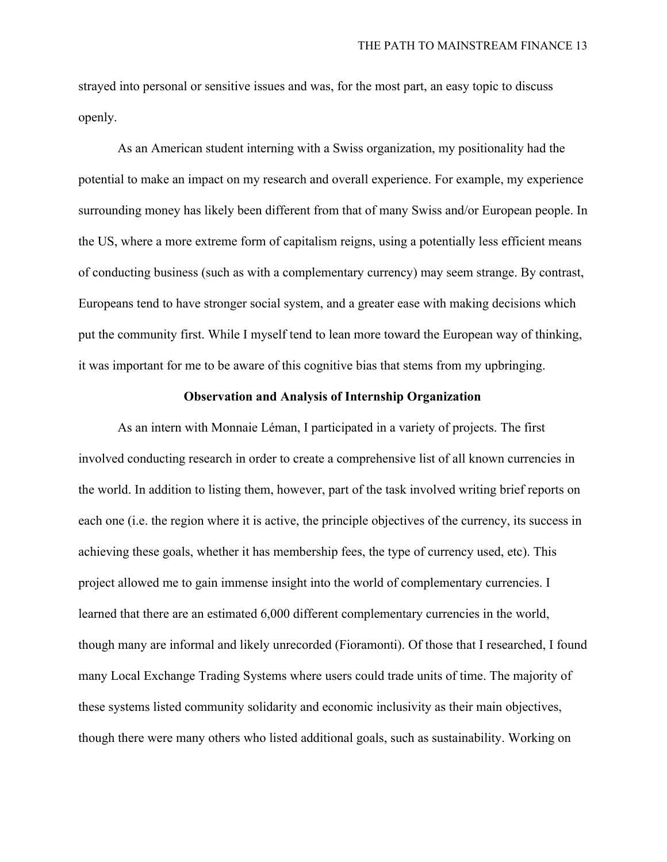strayed into personal or sensitive issues and was, for the most part, an easy topic to discuss openly.

As an American student interning with a Swiss organization, my positionality had the potential to make an impact on my research and overall experience. For example, my experience surrounding money has likely been different from that of many Swiss and/or European people. In the US, where a more extreme form of capitalism reigns, using a potentially less efficient means of conducting business (such as with a complementary currency) may seem strange. By contrast, Europeans tend to have stronger social system, and a greater ease with making decisions which put the community first. While I myself tend to lean more toward the European way of thinking, it was important for me to be aware of this cognitive bias that stems from my upbringing.

## **Observation and Analysis of Internship Organization**

<span id="page-14-0"></span>As an intern with Monnaie Léman, I participated in a variety of projects. The first involved conducting research in order to create a comprehensive list of all known currencies in the world. In addition to listing them, however, part of the task involved writing brief reports on each one (i.e. the region where it is active, the principle objectives of the currency, its success in achieving these goals, whether it has membership fees, the type of currency used, etc). This project allowed me to gain immense insight into the world of complementary currencies. I learned that there are an estimated 6,000 different complementary currencies in the world, though many are informal and likely unrecorded (Fioramonti). Of those that I researched, I found many Local Exchange Trading Systems where users could trade units of time. The majority of these systems listed community solidarity and economic inclusivity as their main objectives, though there were many others who listed additional goals, such as sustainability. Working on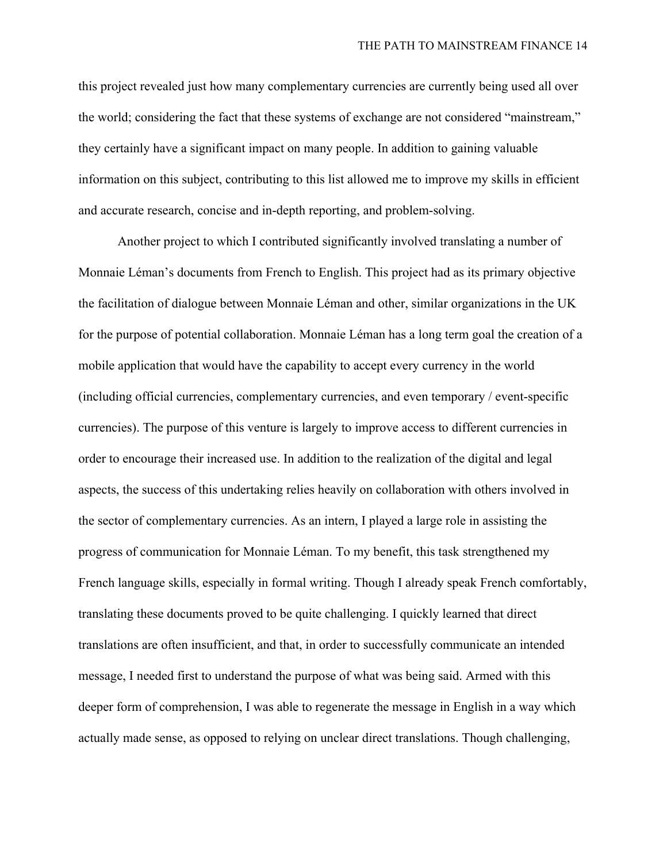this project revealed just how many complementary currencies are currently being used all over the world; considering the fact that these systems of exchange are not considered "mainstream," they certainly have a significant impact on many people. In addition to gaining valuable information on this subject, contributing to this list allowed me to improve my skills in efficient and accurate research, concise and in-depth reporting, and problem-solving.

Another project to which I contributed significantly involved translating a number of Monnaie Léman's documents from French to English. This project had as its primary objective the facilitation of dialogue between Monnaie Léman and other, similar organizations in the UK for the purpose of potential collaboration. Monnaie Léman has a long term goal the creation of a mobile application that would have the capability to accept every currency in the world (including official currencies, complementary currencies, and even temporary / event-specific currencies). The purpose of this venture is largely to improve access to different currencies in order to encourage their increased use. In addition to the realization of the digital and legal aspects, the success of this undertaking relies heavily on collaboration with others involved in the sector of complementary currencies. As an intern, I played a large role in assisting the progress of communication for Monnaie Léman. To my benefit, this task strengthened my French language skills, especially in formal writing. Though I already speak French comfortably, translating these documents proved to be quite challenging. I quickly learned that direct translations are often insufficient, and that, in order to successfully communicate an intended message, I needed first to understand the purpose of what was being said. Armed with this deeper form of comprehension, I was able to regenerate the message in English in a way which actually made sense, as opposed to relying on unclear direct translations. Though challenging,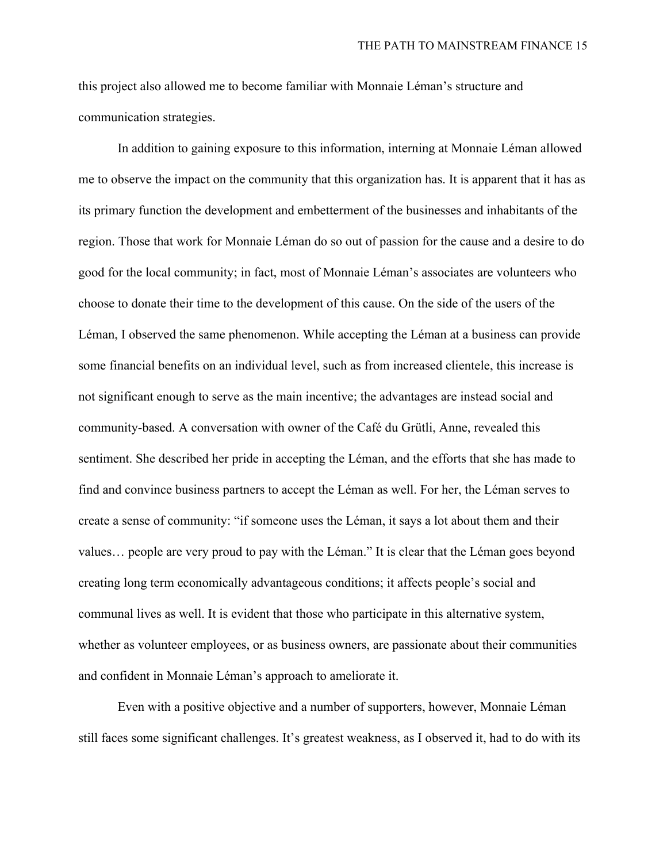this project also allowed me to become familiar with Monnaie Léman's structure and communication strategies.

In addition to gaining exposure to this information, interning at Monnaie Léman allowed me to observe the impact on the community that this organization has. It is apparent that it has as its primary function the development and embetterment of the businesses and inhabitants of the region. Those that work for Monnaie Léman do so out of passion for the cause and a desire to do good for the local community; in fact, most of Monnaie Léman's associates are volunteers who choose to donate their time to the development of this cause. On the side of the users of the Léman, I observed the same phenomenon. While accepting the Léman at a business can provide some financial benefits on an individual level, such as from increased clientele, this increase is not significant enough to serve as the main incentive; the advantages are instead social and community-based. A conversation with owner of the Café du Grütli, Anne, revealed this sentiment. She described her pride in accepting the Léman, and the efforts that she has made to find and convince business partners to accept the Léman as well. For her, the Léman serves to create a sense of community: "if someone uses the Léman, it says a lot about them and their values… people are very proud to pay with the Léman." It is clear that the Léman goes beyond creating long term economically advantageous conditions; it affects people's social and communal lives as well. It is evident that those who participate in this alternative system, whether as volunteer employees, or as business owners, are passionate about their communities and confident in Monnaie Léman's approach to ameliorate it.

Even with a positive objective and a number of supporters, however, Monnaie Léman still faces some significant challenges. It's greatest weakness, as I observed it, had to do with its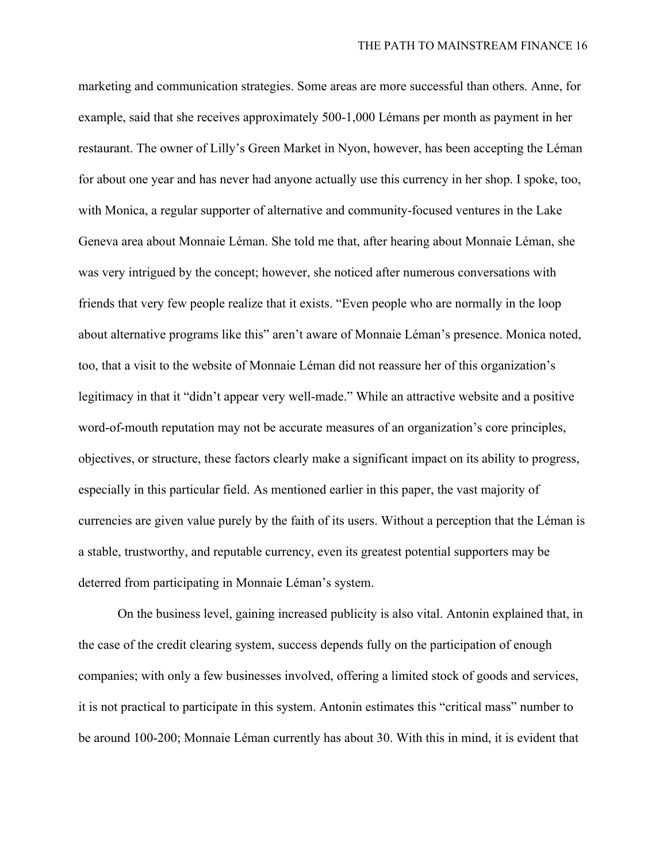marketing and communication strategies. Some areas are more successful than others. Anne, for example, said that she receives approximately 500-1,000 Lémans per month as payment in her restaurant. The owner of Lilly's Green Market in Nyon, however, has been accepting the Léman for about one year and has never had anyone actually use this currency in her shop. I spoke, too, with Monica, a regular supporter of alternative and community-focused ventures in the Lake Geneva area about Monnaie Léman. She told me that, after hearing about Monnaie Léman, she was very intrigued by the concept; however, she noticed after numerous conversations with friends that very few people realize that it exists. "Even people who are normally in the loop about alternative programs like this" aren't aware of Monnaie Léman's presence. Monica noted, too, that a visit to the website of Monnaie Léman did not reassure her of this organization's legitimacy in that it "didn't appear very well-made." While an attractive website and a positive word-of-mouth reputation may not be accurate measures of an organization's core principles, objectives, or structure, these factors clearly make a significant impact on its ability to progress, especially in this particular field. As mentioned earlier in this paper, the vast majority of currencies are given value purely by the faith of its users. Without a perception that the Léman is a stable, trustworthy, and reputable currency, even its greatest potential supporters may be deterred from participating in Monnaie Léman's system.

On the business level, gaining increased publicity is also vital. Antonin explained that, in the case of the credit clearing system, success depends fully on the participation of enough companies; with only a few businesses involved, offering a limited stock of goods and services, it is not practical to participate in this system. Antonin estimates this "critical mass" number to be around 100-200; Monnaie Léman currently has about 30. With this in mind, it is evident that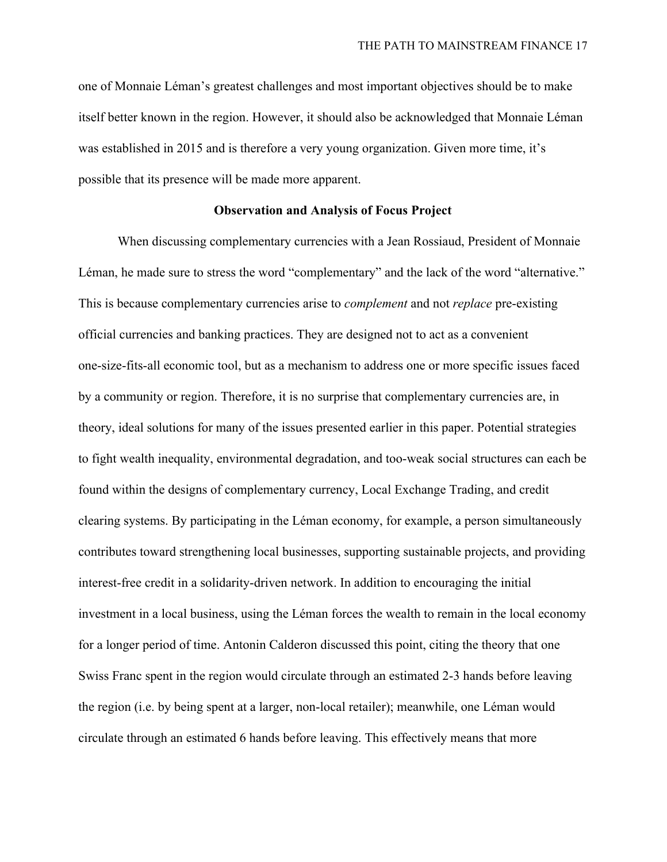one of Monnaie Léman's greatest challenges and most important objectives should be to make itself better known in the region. However, it should also be acknowledged that Monnaie Léman was established in 2015 and is therefore a very young organization. Given more time, it's possible that its presence will be made more apparent.

# **Observation and Analysis of Focus Project**

<span id="page-18-0"></span>When discussing complementary currencies with a Jean Rossiaud, President of Monnaie Léman, he made sure to stress the word "complementary" and the lack of the word "alternative." This is because complementary currencies arise to *complement* and not *replace* pre-existing official currencies and banking practices. They are designed not to act as a convenient one-size-fits-all economic tool, but as a mechanism to address one or more specific issues faced by a community or region. Therefore, it is no surprise that complementary currencies are, in theory, ideal solutions for many of the issues presented earlier in this paper. Potential strategies to fight wealth inequality, environmental degradation, and too-weak social structures can each be found within the designs of complementary currency, Local Exchange Trading, and credit clearing systems. By participating in the Léman economy, for example, a person simultaneously contributes toward strengthening local businesses, supporting sustainable projects, and providing interest-free credit in a solidarity-driven network. In addition to encouraging the initial investment in a local business, using the Léman forces the wealth to remain in the local economy for a longer period of time. Antonin Calderon discussed this point, citing the theory that one Swiss Franc spent in the region would circulate through an estimated 2-3 hands before leaving the region (i.e. by being spent at a larger, non-local retailer); meanwhile, one Léman would circulate through an estimated 6 hands before leaving. This effectively means that more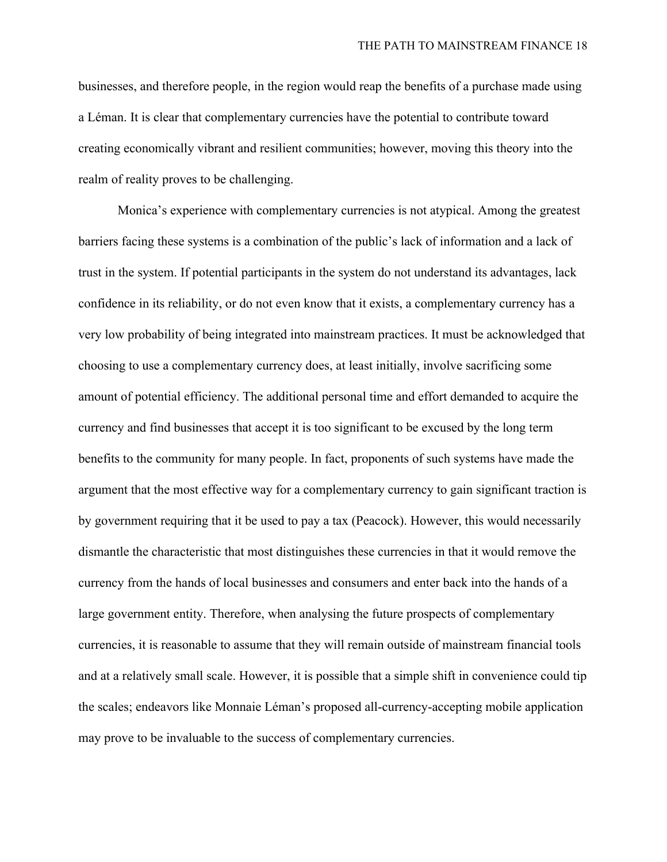businesses, and therefore people, in the region would reap the benefits of a purchase made using a Léman. It is clear that complementary currencies have the potential to contribute toward creating economically vibrant and resilient communities; however, moving this theory into the realm of reality proves to be challenging.

Monica's experience with complementary currencies is not atypical. Among the greatest barriers facing these systems is a combination of the public's lack of information and a lack of trust in the system. If potential participants in the system do not understand its advantages, lack confidence in its reliability, or do not even know that it exists, a complementary currency has a very low probability of being integrated into mainstream practices. It must be acknowledged that choosing to use a complementary currency does, at least initially, involve sacrificing some amount of potential efficiency. The additional personal time and effort demanded to acquire the currency and find businesses that accept it is too significant to be excused by the long term benefits to the community for many people. In fact, proponents of such systems have made the argument that the most effective way for a complementary currency to gain significant traction is by government requiring that it be used to pay a tax (Peacock). However, this would necessarily dismantle the characteristic that most distinguishes these currencies in that it would remove the currency from the hands of local businesses and consumers and enter back into the hands of a large government entity. Therefore, when analysing the future prospects of complementary currencies, it is reasonable to assume that they will remain outside of mainstream financial tools and at a relatively small scale. However, it is possible that a simple shift in convenience could tip the scales; endeavors like Monnaie Léman's proposed all-currency-accepting mobile application may prove to be invaluable to the success of complementary currencies.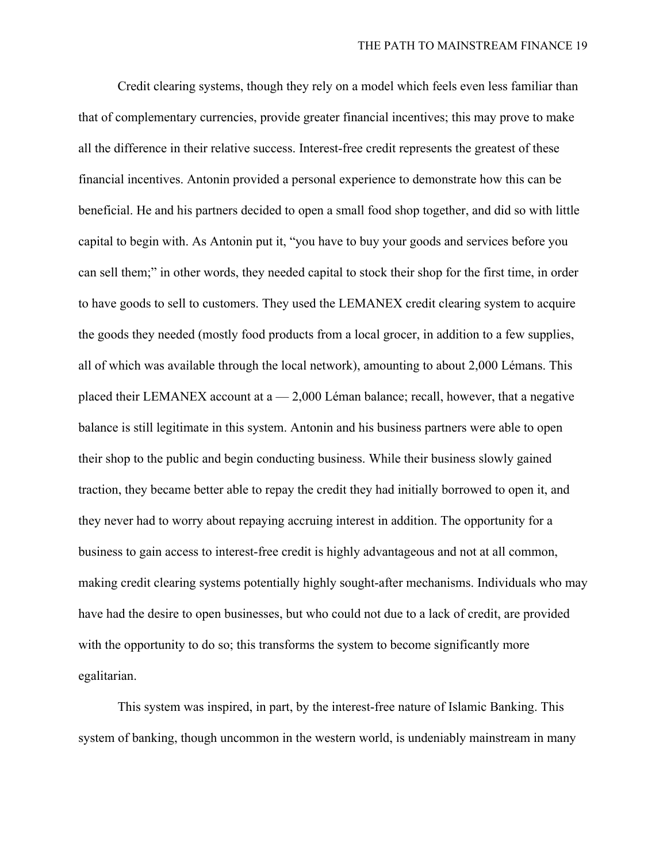Credit clearing systems, though they rely on a model which feels even less familiar than that of complementary currencies, provide greater financial incentives; this may prove to make all the difference in their relative success. Interest-free credit represents the greatest of these financial incentives. Antonin provided a personal experience to demonstrate how this can be beneficial. He and his partners decided to open a small food shop together, and did so with little capital to begin with. As Antonin put it, "you have to buy your goods and services before you can sell them;" in other words, they needed capital to stock their shop for the first time, in order to have goods to sell to customers. They used the LEMANEX credit clearing system to acquire the goods they needed (mostly food products from a local grocer, in addition to a few supplies, all of which was available through the local network), amounting to about 2,000 Lémans. This placed their LEMANEX account at  $a - 2,000$  Léman balance; recall, however, that a negative balance is still legitimate in this system. Antonin and his business partners were able to open their shop to the public and begin conducting business. While their business slowly gained traction, they became better able to repay the credit they had initially borrowed to open it, and they never had to worry about repaying accruing interest in addition. The opportunity for a business to gain access to interest-free credit is highly advantageous and not at all common, making credit clearing systems potentially highly sought-after mechanisms. Individuals who may have had the desire to open businesses, but who could not due to a lack of credit, are provided with the opportunity to do so; this transforms the system to become significantly more egalitarian.

This system was inspired, in part, by the interest-free nature of Islamic Banking. This system of banking, though uncommon in the western world, is undeniably mainstream in many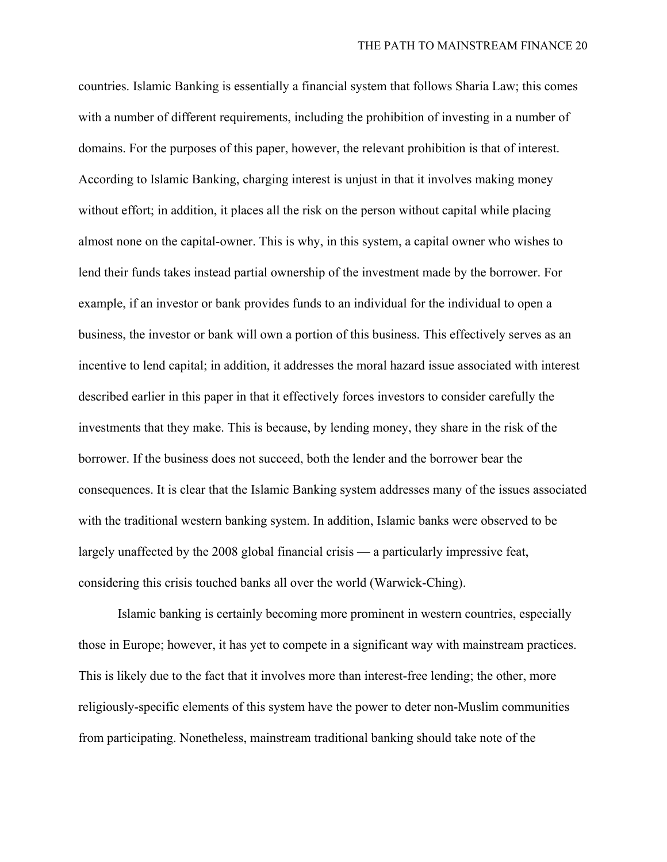countries. Islamic Banking is essentially a financial system that follows Sharia Law; this comes with a number of different requirements, including the prohibition of investing in a number of domains. For the purposes of this paper, however, the relevant prohibition is that of interest. According to Islamic Banking, charging interest is unjust in that it involves making money without effort; in addition, it places all the risk on the person without capital while placing almost none on the capital-owner. This is why, in this system, a capital owner who wishes to lend their funds takes instead partial ownership of the investment made by the borrower. For example, if an investor or bank provides funds to an individual for the individual to open a business, the investor or bank will own a portion of this business. This effectively serves as an incentive to lend capital; in addition, it addresses the moral hazard issue associated with interest described earlier in this paper in that it effectively forces investors to consider carefully the investments that they make. This is because, by lending money, they share in the risk of the borrower. If the business does not succeed, both the lender and the borrower bear the consequences. It is clear that the Islamic Banking system addresses many of the issues associated with the traditional western banking system. In addition, Islamic banks were observed to be largely unaffected by the 2008 global financial crisis — a particularly impressive feat, considering this crisis touched banks all over the world (Warwick-Ching).

Islamic banking is certainly becoming more prominent in western countries, especially those in Europe; however, it has yet to compete in a significant way with mainstream practices. This is likely due to the fact that it involves more than interest-free lending; the other, more religiously-specific elements of this system have the power to deter non-Muslim communities from participating. Nonetheless, mainstream traditional banking should take note of the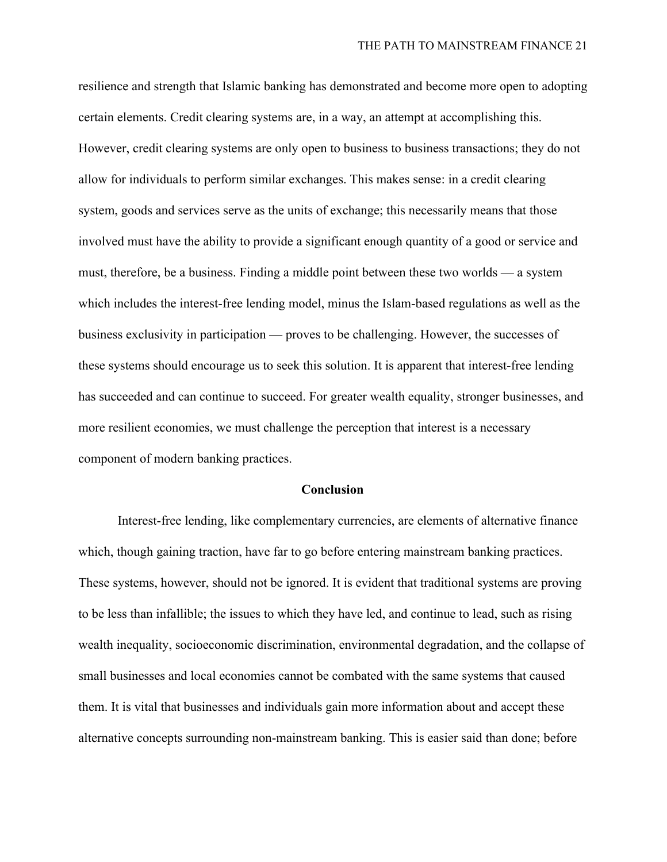resilience and strength that Islamic banking has demonstrated and become more open to adopting certain elements. Credit clearing systems are, in a way, an attempt at accomplishing this. However, credit clearing systems are only open to business to business transactions; they do not allow for individuals to perform similar exchanges. This makes sense: in a credit clearing system, goods and services serve as the units of exchange; this necessarily means that those involved must have the ability to provide a significant enough quantity of a good or service and must, therefore, be a business. Finding a middle point between these two worlds — a system which includes the interest-free lending model, minus the Islam-based regulations as well as the business exclusivity in participation — proves to be challenging. However, the successes of these systems should encourage us to seek this solution. It is apparent that interest-free lending has succeeded and can continue to succeed. For greater wealth equality, stronger businesses, and more resilient economies, we must challenge the perception that interest is a necessary component of modern banking practices.

#### **Conclusion**

<span id="page-22-0"></span>Interest-free lending, like complementary currencies, are elements of alternative finance which, though gaining traction, have far to go before entering mainstream banking practices. These systems, however, should not be ignored. It is evident that traditional systems are proving to be less than infallible; the issues to which they have led, and continue to lead, such as rising wealth inequality, socioeconomic discrimination, environmental degradation, and the collapse of small businesses and local economies cannot be combated with the same systems that caused them. It is vital that businesses and individuals gain more information about and accept these alternative concepts surrounding non-mainstream banking. This is easier said than done; before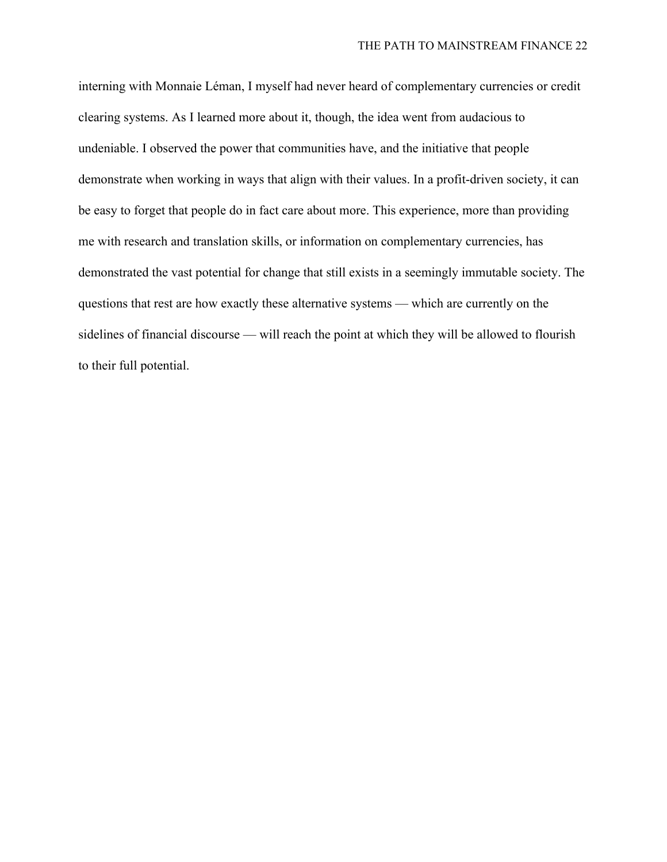interning with Monnaie Léman, I myself had never heard of complementary currencies or credit clearing systems. As I learned more about it, though, the idea went from audacious to undeniable. I observed the power that communities have, and the initiative that people demonstrate when working in ways that align with their values. In a profit-driven society, it can be easy to forget that people do in fact care about more. This experience, more than providing me with research and translation skills, or information on complementary currencies, has demonstrated the vast potential for change that still exists in a seemingly immutable society. The questions that rest are how exactly these alternative systems — which are currently on the sidelines of financial discourse — will reach the point at which they will be allowed to flourish to their full potential.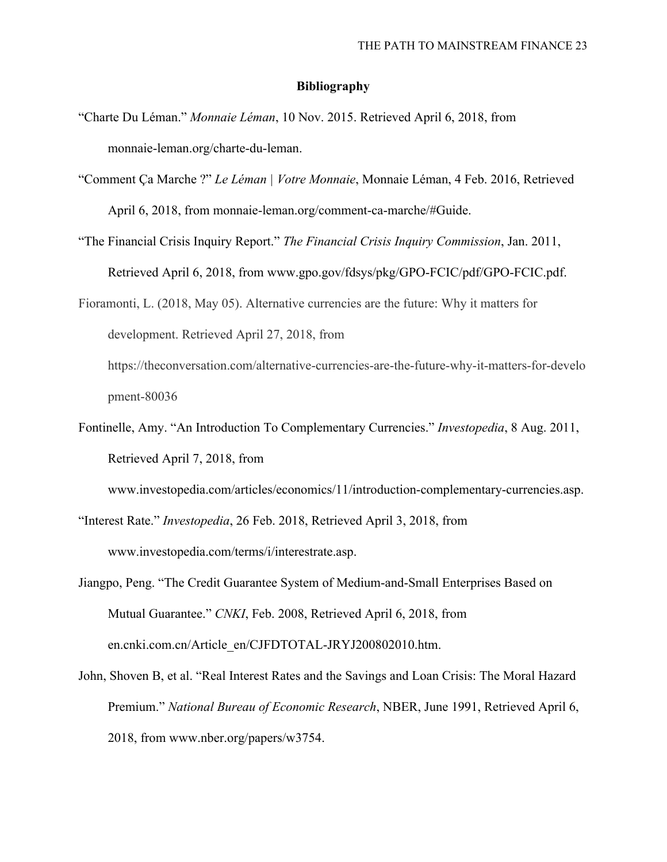#### **Bibliography**

- <span id="page-24-0"></span>"Charte Du Léman." *Monnaie Léman*, 10 Nov. 2015. Retrieved April 6, 2018, from monnaie-leman.org/charte-du-leman.
- "Comment Ça Marche ?" *Le Léman | Votre Monnaie*, Monnaie Léman, 4 Feb. 2016, Retrieved April 6, 2018, from monnaie-leman.org/comment-ca-marche/#Guide.
- "The Financial Crisis Inquiry Report." *The Financial Crisis Inquiry Commission*, Jan. 2011, Retrieved April 6, 2018, from www.gpo.gov/fdsys/pkg/GPO-FCIC/pdf/GPO-FCIC.pdf.
- Fioramonti, L. (2018, May 05). Alternative currencies are the future: Why it matters for development. Retrieved April 27, 2018, from https://theconversation.com/alternative-currencies-are-the-future-why-it-matters-for-develo pment-80036
- Fontinelle, Amy. "An Introduction To Complementary Currencies." *Investopedia*, 8 Aug. 2011, Retrieved April 7, 2018, from

www.investopedia.com/articles/economics/11/introduction-complementary-currencies.asp.

"Interest Rate." *Investopedia*, 26 Feb. 2018, Retrieved April 3, 2018, from www.investopedia.com/terms/i/interestrate.asp.

- Jiangpo, Peng. "The Credit Guarantee System of Medium-and-Small Enterprises Based on Mutual Guarantee." *CNKI*, Feb. 2008, Retrieved April 6, 2018, from en.cnki.com.cn/Article\_en/CJFDTOTAL-JRYJ200802010.htm.
- John, Shoven B, et al. "Real Interest Rates and the Savings and Loan Crisis: The Moral Hazard Premium." *National Bureau of Economic Research*, NBER, June 1991, Retrieved April 6, 2018, from www.nber.org/papers/w3754.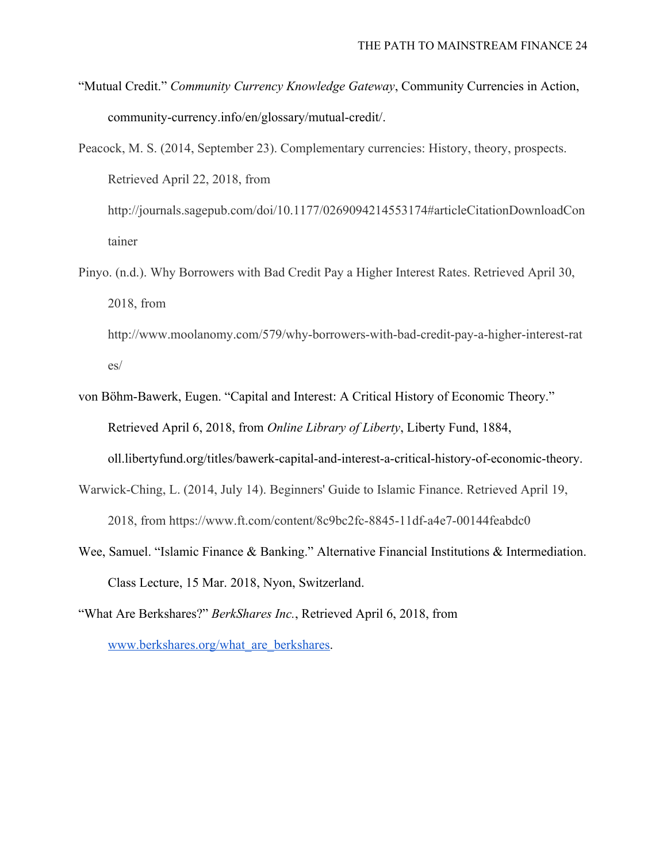"Mutual Credit." *Community Currency Knowledge Gateway*, Community Currencies in Action, community-currency.info/en/glossary/mutual-credit/.

Peacock, M. S. (2014, September 23). Complementary currencies: History, theory, prospects. Retrieved April 22, 2018, from http://journals.sagepub.com/doi/10.1177/0269094214553174#articleCitationDownloadCon tainer

Pinyo. (n.d.). Why Borrowers with Bad Credit Pay a Higher Interest Rates. Retrieved April 30, 2018, from

http://www.moolanomy.com/579/why-borrowers-with-bad-credit-pay-a-higher-interest-rat es/

- von Böhm-Bawerk, Eugen. "Capital and Interest: A Critical History of Economic Theory." Retrieved April 6, 2018, from *Online Library of Liberty*, Liberty Fund, 1884, oll.libertyfund.org/titles/bawerk-capital-and-interest-a-critical-history-of-economic-theory.
- Warwick-Ching, L. (2014, July 14). Beginners' Guide to Islamic Finance. Retrieved April 19, 2018, from https://www.ft.com/content/8c9bc2fc-8845-11df-a4e7-00144feabdc0
- Wee, Samuel. "Islamic Finance & Banking." Alternative Financial Institutions & Intermediation. Class Lecture, 15 Mar. 2018, Nyon, Switzerland.

"What Are Berkshares?" *BerkShares Inc.*, Retrieved April 6, 2018, from [www.berkshares.org/what\\_are\\_berkshares.](http://www.berkshares.org/what_are_berkshares)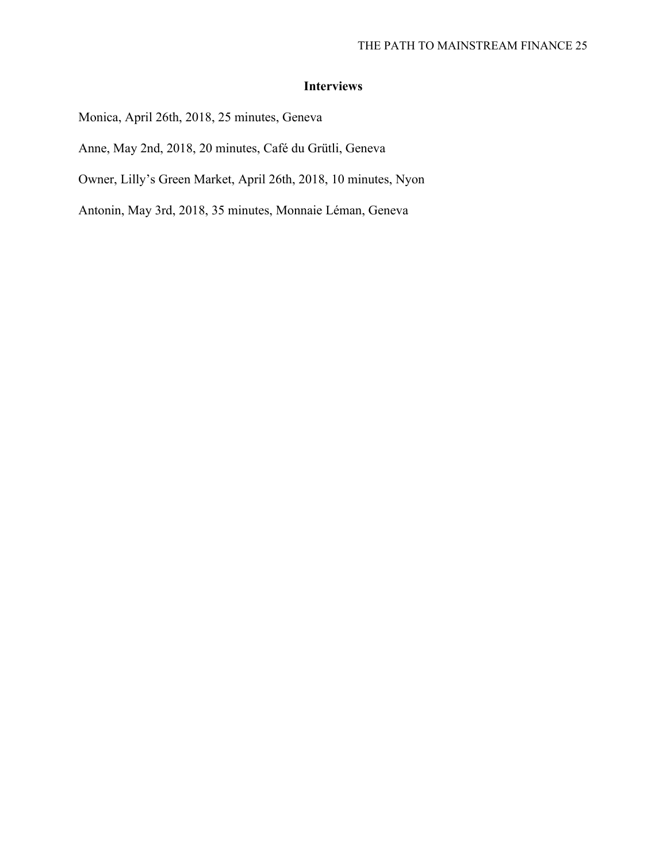# **Interviews**

Monica, April 26th, 2018, 25 minutes, Geneva

Anne, May 2nd, 2018, 20 minutes, Café du Grütli, Geneva

Owner, Lilly's Green Market, April 26th, 2018, 10 minutes, Nyon

Antonin, May 3rd, 2018, 35 minutes, Monnaie Léman, Geneva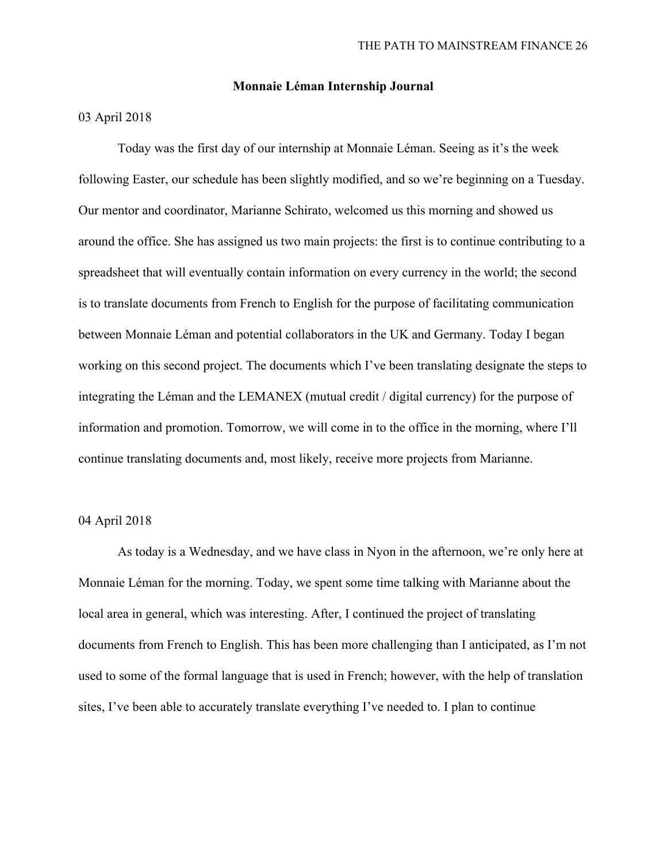#### **Monnaie Léman Internship Journal**

# 03 April 2018

Today was the first day of our internship at Monnaie Léman. Seeing as it's the week following Easter, our schedule has been slightly modified, and so we're beginning on a Tuesday. Our mentor and coordinator, Marianne Schirato, welcomed us this morning and showed us around the office. She has assigned us two main projects: the first is to continue contributing to a spreadsheet that will eventually contain information on every currency in the world; the second is to translate documents from French to English for the purpose of facilitating communication between Monnaie Léman and potential collaborators in the UK and Germany. Today I began working on this second project. The documents which I've been translating designate the steps to integrating the Léman and the LEMANEX (mutual credit / digital currency) for the purpose of information and promotion. Tomorrow, we will come in to the office in the morning, where I'll continue translating documents and, most likely, receive more projects from Marianne.

# 04 April 2018

As today is a Wednesday, and we have class in Nyon in the afternoon, we're only here at Monnaie Léman for the morning. Today, we spent some time talking with Marianne about the local area in general, which was interesting. After, I continued the project of translating documents from French to English. This has been more challenging than I anticipated, as I'm not used to some of the formal language that is used in French; however, with the help of translation sites, I've been able to accurately translate everything I've needed to. I plan to continue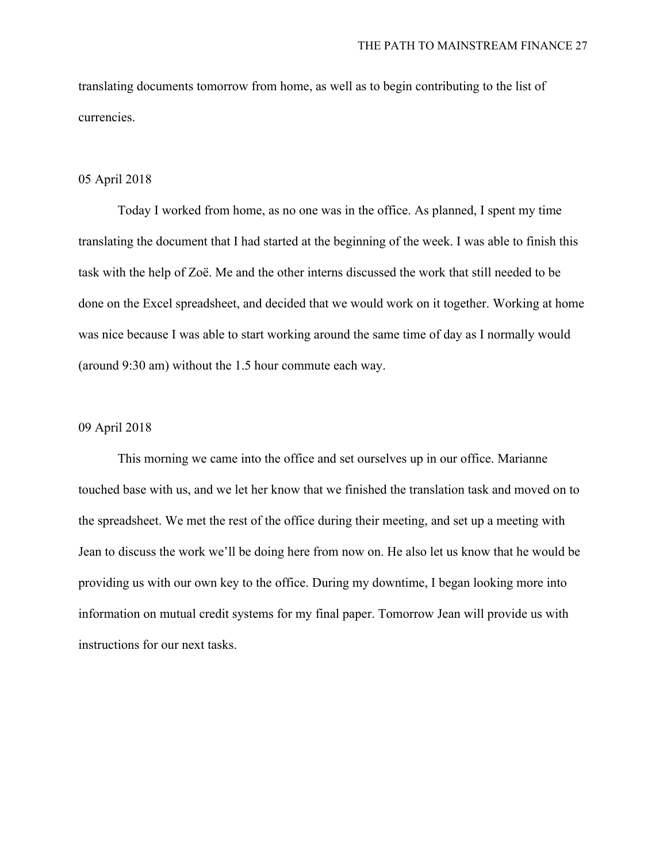translating documents tomorrow from home, as well as to begin contributing to the list of currencies.

# 05 April 2018

Today I worked from home, as no one was in the office. As planned, I spent my time translating the document that I had started at the beginning of the week. I was able to finish this task with the help of Zoë. Me and the other interns discussed the work that still needed to be done on the Excel spreadsheet, and decided that we would work on it together. Working at home was nice because I was able to start working around the same time of day as I normally would (around 9:30 am) without the 1.5 hour commute each way.

# 09 April 2018

This morning we came into the office and set ourselves up in our office. Marianne touched base with us, and we let her know that we finished the translation task and moved on to the spreadsheet. We met the rest of the office during their meeting, and set up a meeting with Jean to discuss the work we'll be doing here from now on. He also let us know that he would be providing us with our own key to the office. During my downtime, I began looking more into information on mutual credit systems for my final paper. Tomorrow Jean will provide us with instructions for our next tasks.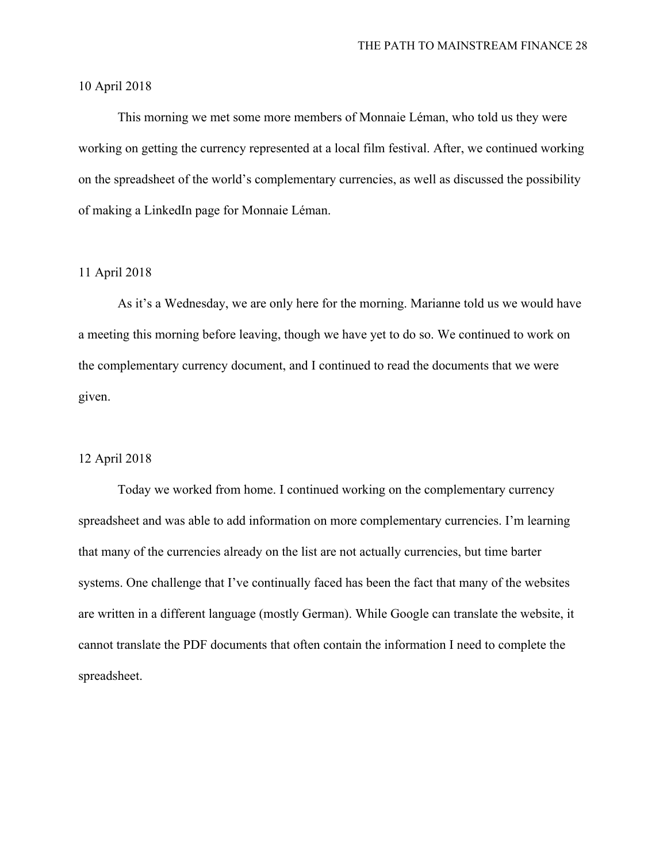#### 10 April 2018

This morning we met some more members of Monnaie Léman, who told us they were working on getting the currency represented at a local film festival. After, we continued working on the spreadsheet of the world's complementary currencies, as well as discussed the possibility of making a LinkedIn page for Monnaie Léman.

# 11 April 2018

As it's a Wednesday, we are only here for the morning. Marianne told us we would have a meeting this morning before leaving, though we have yet to do so. We continued to work on the complementary currency document, and I continued to read the documents that we were given.

#### 12 April 2018

Today we worked from home. I continued working on the complementary currency spreadsheet and was able to add information on more complementary currencies. I'm learning that many of the currencies already on the list are not actually currencies, but time barter systems. One challenge that I've continually faced has been the fact that many of the websites are written in a different language (mostly German). While Google can translate the website, it cannot translate the PDF documents that often contain the information I need to complete the spreadsheet.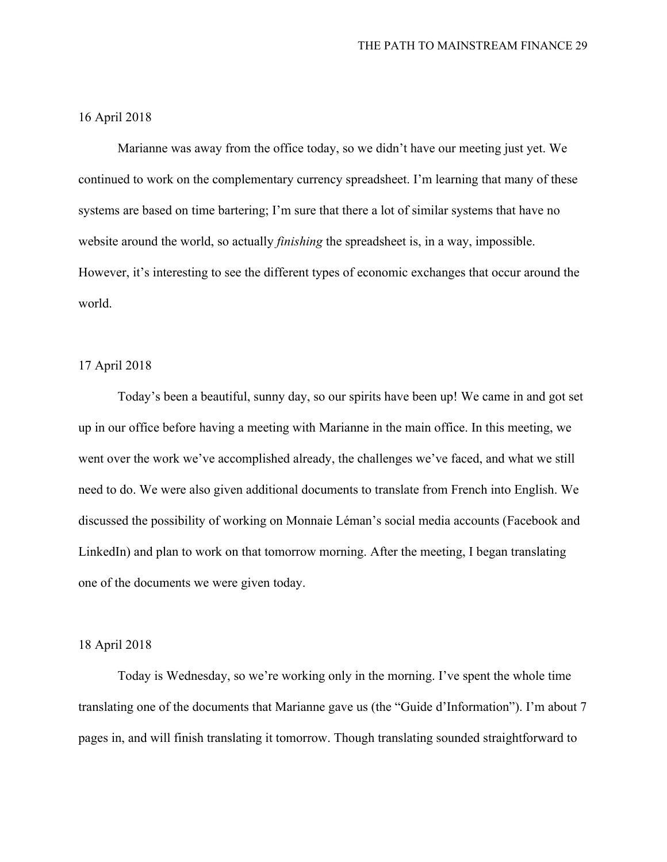# 16 April 2018

Marianne was away from the office today, so we didn't have our meeting just yet. We continued to work on the complementary currency spreadsheet. I'm learning that many of these systems are based on time bartering; I'm sure that there a lot of similar systems that have no website around the world, so actually *finishing* the spreadsheet is, in a way, impossible. However, it's interesting to see the different types of economic exchanges that occur around the world.

# 17 April 2018

Today's been a beautiful, sunny day, so our spirits have been up! We came in and got set up in our office before having a meeting with Marianne in the main office. In this meeting, we went over the work we've accomplished already, the challenges we've faced, and what we still need to do. We were also given additional documents to translate from French into English. We discussed the possibility of working on Monnaie Léman's social media accounts (Facebook and LinkedIn) and plan to work on that tomorrow morning. After the meeting, I began translating one of the documents we were given today.

#### 18 April 2018

Today is Wednesday, so we're working only in the morning. I've spent the whole time translating one of the documents that Marianne gave us (the "Guide d'Information"). I'm about 7 pages in, and will finish translating it tomorrow. Though translating sounded straightforward to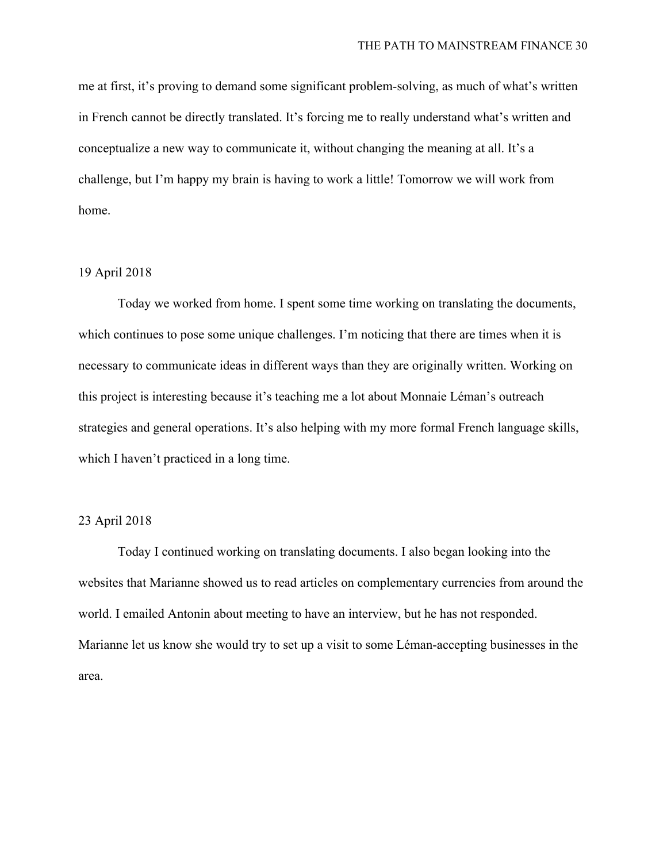me at first, it's proving to demand some significant problem-solving, as much of what's written in French cannot be directly translated. It's forcing me to really understand what's written and conceptualize a new way to communicate it, without changing the meaning at all. It's a challenge, but I'm happy my brain is having to work a little! Tomorrow we will work from home.

# 19 April 2018

Today we worked from home. I spent some time working on translating the documents, which continues to pose some unique challenges. I'm noticing that there are times when it is necessary to communicate ideas in different ways than they are originally written. Working on this project is interesting because it's teaching me a lot about Monnaie Léman's outreach strategies and general operations. It's also helping with my more formal French language skills, which I haven't practiced in a long time.

# 23 April 2018

Today I continued working on translating documents. I also began looking into the websites that Marianne showed us to read articles on complementary currencies from around the world. I emailed Antonin about meeting to have an interview, but he has not responded. Marianne let us know she would try to set up a visit to some Léman-accepting businesses in the area.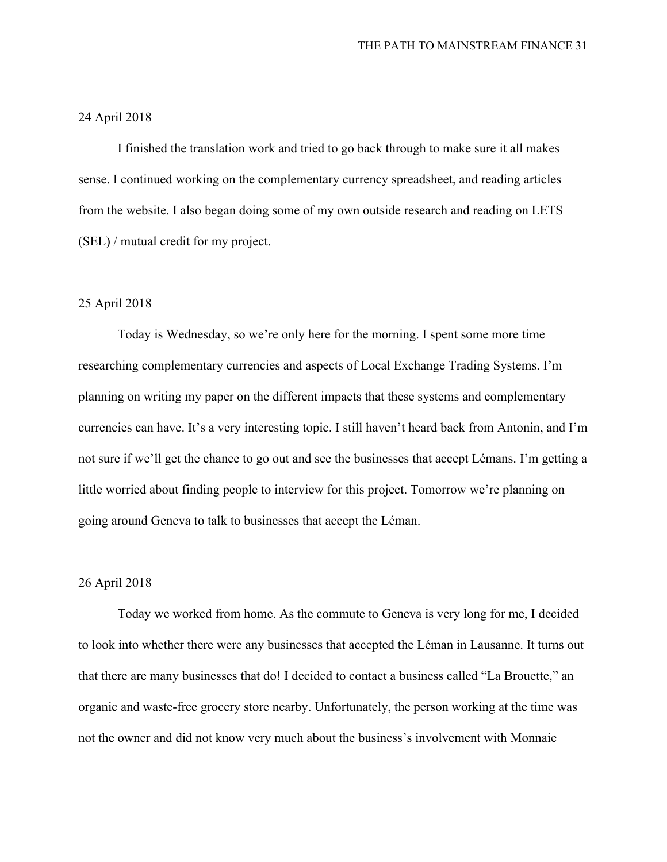# 24 April 2018

I finished the translation work and tried to go back through to make sure it all makes sense. I continued working on the complementary currency spreadsheet, and reading articles from the website. I also began doing some of my own outside research and reading on LETS (SEL) / mutual credit for my project.

#### 25 April 2018

Today is Wednesday, so we're only here for the morning. I spent some more time researching complementary currencies and aspects of Local Exchange Trading Systems. I'm planning on writing my paper on the different impacts that these systems and complementary currencies can have. It's a very interesting topic. I still haven't heard back from Antonin, and I'm not sure if we'll get the chance to go out and see the businesses that accept Lémans. I'm getting a little worried about finding people to interview for this project. Tomorrow we're planning on going around Geneva to talk to businesses that accept the Léman.

#### 26 April 2018

Today we worked from home. As the commute to Geneva is very long for me, I decided to look into whether there were any businesses that accepted the Léman in Lausanne. It turns out that there are many businesses that do! I decided to contact a business called "La Brouette," an organic and waste-free grocery store nearby. Unfortunately, the person working at the time was not the owner and did not know very much about the business's involvement with Monnaie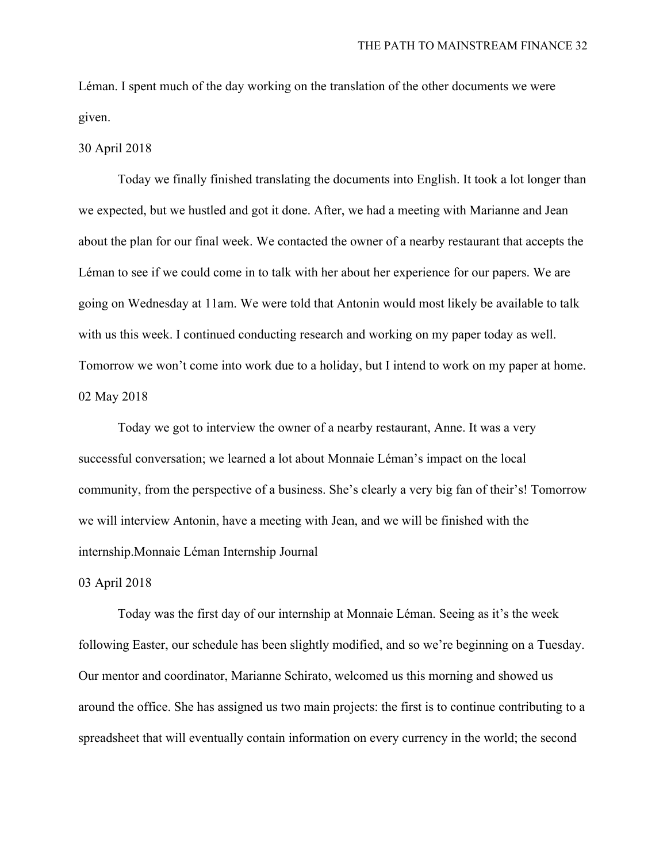Léman. I spent much of the day working on the translation of the other documents we were given.

#### 30 April 2018

Today we finally finished translating the documents into English. It took a lot longer than we expected, but we hustled and got it done. After, we had a meeting with Marianne and Jean about the plan for our final week. We contacted the owner of a nearby restaurant that accepts the Léman to see if we could come in to talk with her about her experience for our papers. We are going on Wednesday at 11am. We were told that Antonin would most likely be available to talk with us this week. I continued conducting research and working on my paper today as well. Tomorrow we won't come into work due to a holiday, but I intend to work on my paper at home. 02 May 2018

Today we got to interview the owner of a nearby restaurant, Anne. It was a very successful conversation; we learned a lot about Monnaie Léman's impact on the local community, from the perspective of a business. She's clearly a very big fan of their's! Tomorrow we will interview Antonin, have a meeting with Jean, and we will be finished with the internship.Monnaie Léman Internship Journal

#### 03 April 2018

Today was the first day of our internship at Monnaie Léman. Seeing as it's the week following Easter, our schedule has been slightly modified, and so we're beginning on a Tuesday. Our mentor and coordinator, Marianne Schirato, welcomed us this morning and showed us around the office. She has assigned us two main projects: the first is to continue contributing to a spreadsheet that will eventually contain information on every currency in the world; the second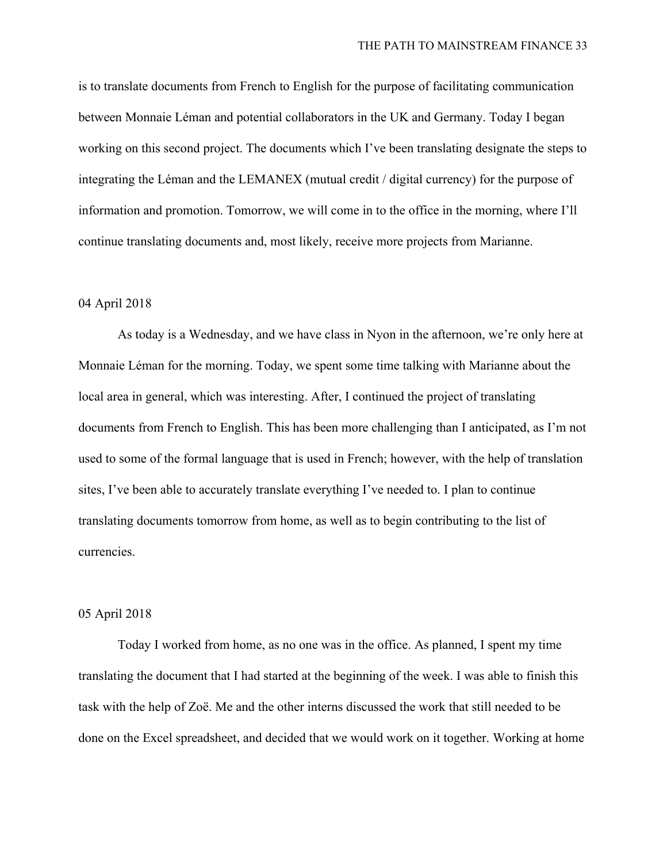is to translate documents from French to English for the purpose of facilitating communication between Monnaie Léman and potential collaborators in the UK and Germany. Today I began working on this second project. The documents which I've been translating designate the steps to integrating the Léman and the LEMANEX (mutual credit / digital currency) for the purpose of information and promotion. Tomorrow, we will come in to the office in the morning, where I'll continue translating documents and, most likely, receive more projects from Marianne.

# 04 April 2018

As today is a Wednesday, and we have class in Nyon in the afternoon, we're only here at Monnaie Léman for the morning. Today, we spent some time talking with Marianne about the local area in general, which was interesting. After, I continued the project of translating documents from French to English. This has been more challenging than I anticipated, as I'm not used to some of the formal language that is used in French; however, with the help of translation sites, I've been able to accurately translate everything I've needed to. I plan to continue translating documents tomorrow from home, as well as to begin contributing to the list of currencies.

#### 05 April 2018

Today I worked from home, as no one was in the office. As planned, I spent my time translating the document that I had started at the beginning of the week. I was able to finish this task with the help of Zoë. Me and the other interns discussed the work that still needed to be done on the Excel spreadsheet, and decided that we would work on it together. Working at home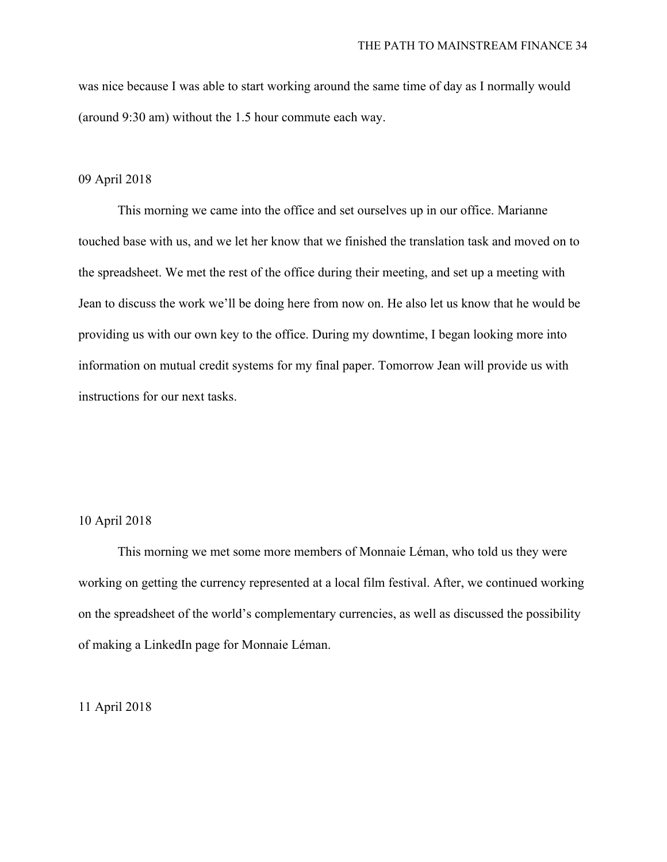was nice because I was able to start working around the same time of day as I normally would (around 9:30 am) without the 1.5 hour commute each way.

# 09 April 2018

This morning we came into the office and set ourselves up in our office. Marianne touched base with us, and we let her know that we finished the translation task and moved on to the spreadsheet. We met the rest of the office during their meeting, and set up a meeting with Jean to discuss the work we'll be doing here from now on. He also let us know that he would be providing us with our own key to the office. During my downtime, I began looking more into information on mutual credit systems for my final paper. Tomorrow Jean will provide us with instructions for our next tasks.

# 10 April 2018

This morning we met some more members of Monnaie Léman, who told us they were working on getting the currency represented at a local film festival. After, we continued working on the spreadsheet of the world's complementary currencies, as well as discussed the possibility of making a LinkedIn page for Monnaie Léman.

# 11 April 2018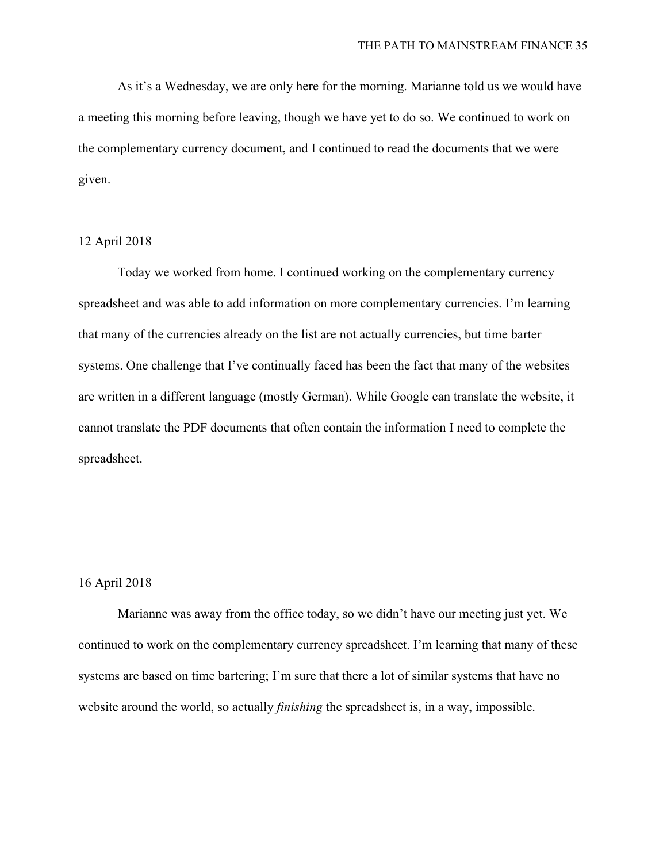As it's a Wednesday, we are only here for the morning. Marianne told us we would have a meeting this morning before leaving, though we have yet to do so. We continued to work on the complementary currency document, and I continued to read the documents that we were given.

#### 12 April 2018

Today we worked from home. I continued working on the complementary currency spreadsheet and was able to add information on more complementary currencies. I'm learning that many of the currencies already on the list are not actually currencies, but time barter systems. One challenge that I've continually faced has been the fact that many of the websites are written in a different language (mostly German). While Google can translate the website, it cannot translate the PDF documents that often contain the information I need to complete the spreadsheet.

# 16 April 2018

Marianne was away from the office today, so we didn't have our meeting just yet. We continued to work on the complementary currency spreadsheet. I'm learning that many of these systems are based on time bartering; I'm sure that there a lot of similar systems that have no website around the world, so actually *finishing* the spreadsheet is, in a way, impossible.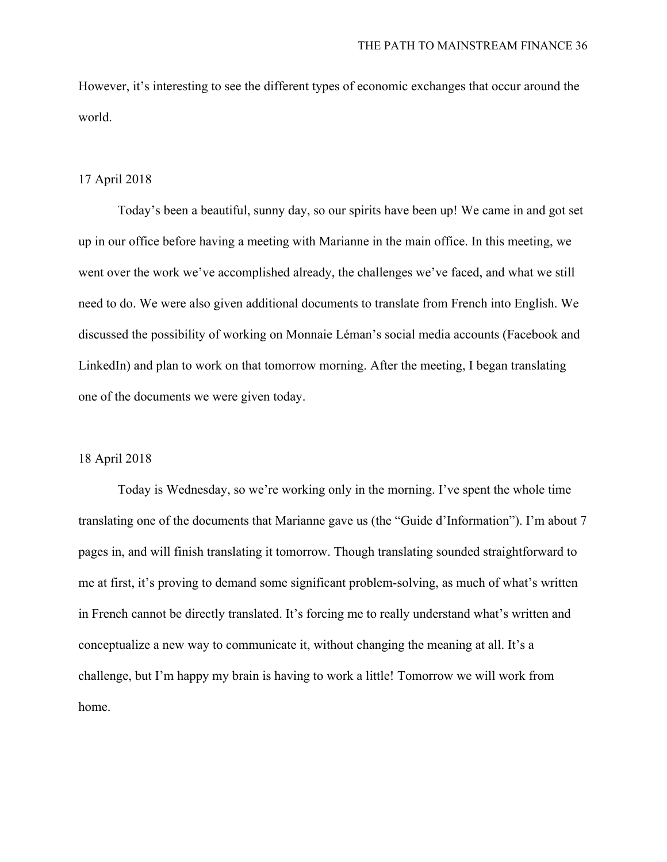However, it's interesting to see the different types of economic exchanges that occur around the world.

# 17 April 2018

Today's been a beautiful, sunny day, so our spirits have been up! We came in and got set up in our office before having a meeting with Marianne in the main office. In this meeting, we went over the work we've accomplished already, the challenges we've faced, and what we still need to do. We were also given additional documents to translate from French into English. We discussed the possibility of working on Monnaie Léman's social media accounts (Facebook and LinkedIn) and plan to work on that tomorrow morning. After the meeting, I began translating one of the documents we were given today.

# 18 April 2018

Today is Wednesday, so we're working only in the morning. I've spent the whole time translating one of the documents that Marianne gave us (the "Guide d'Information"). I'm about 7 pages in, and will finish translating it tomorrow. Though translating sounded straightforward to me at first, it's proving to demand some significant problem-solving, as much of what's written in French cannot be directly translated. It's forcing me to really understand what's written and conceptualize a new way to communicate it, without changing the meaning at all. It's a challenge, but I'm happy my brain is having to work a little! Tomorrow we will work from home.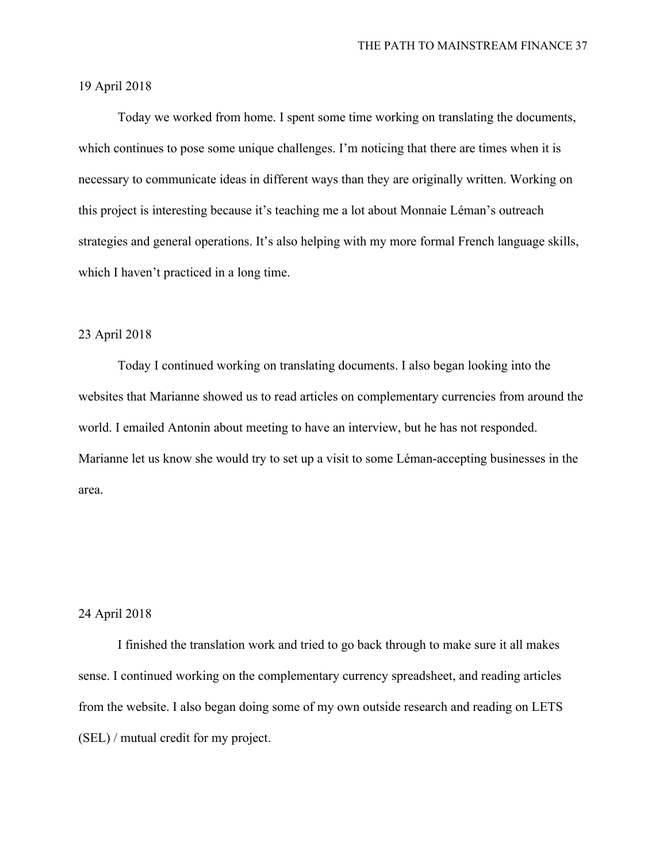# 19 April 2018

Today we worked from home. I spent some time working on translating the documents, which continues to pose some unique challenges. I'm noticing that there are times when it is necessary to communicate ideas in different ways than they are originally written. Working on this project is interesting because it's teaching me a lot about Monnaie Léman's outreach strategies and general operations. It's also helping with my more formal French language skills, which I haven't practiced in a long time.

#### 23 April 2018

Today I continued working on translating documents. I also began looking into the websites that Marianne showed us to read articles on complementary currencies from around the world. I emailed Antonin about meeting to have an interview, but he has not responded. Marianne let us know she would try to set up a visit to some Léman-accepting businesses in the area.

#### 24 April 2018

I finished the translation work and tried to go back through to make sure it all makes sense. I continued working on the complementary currency spreadsheet, and reading articles from the website. I also began doing some of my own outside research and reading on LETS (SEL) / mutual credit for my project.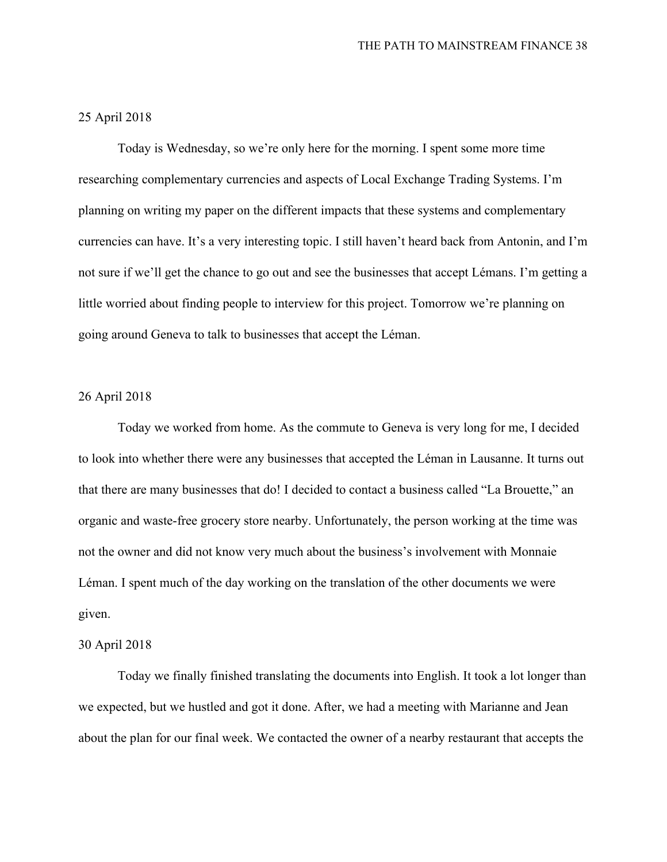# 25 April 2018

Today is Wednesday, so we're only here for the morning. I spent some more time researching complementary currencies and aspects of Local Exchange Trading Systems. I'm planning on writing my paper on the different impacts that these systems and complementary currencies can have. It's a very interesting topic. I still haven't heard back from Antonin, and I'm not sure if we'll get the chance to go out and see the businesses that accept Lémans. I'm getting a little worried about finding people to interview for this project. Tomorrow we're planning on going around Geneva to talk to businesses that accept the Léman.

# 26 April 2018

Today we worked from home. As the commute to Geneva is very long for me, I decided to look into whether there were any businesses that accepted the Léman in Lausanne. It turns out that there are many businesses that do! I decided to contact a business called "La Brouette," an organic and waste-free grocery store nearby. Unfortunately, the person working at the time was not the owner and did not know very much about the business's involvement with Monnaie Léman. I spent much of the day working on the translation of the other documents we were given.

#### 30 April 2018

Today we finally finished translating the documents into English. It took a lot longer than we expected, but we hustled and got it done. After, we had a meeting with Marianne and Jean about the plan for our final week. We contacted the owner of a nearby restaurant that accepts the